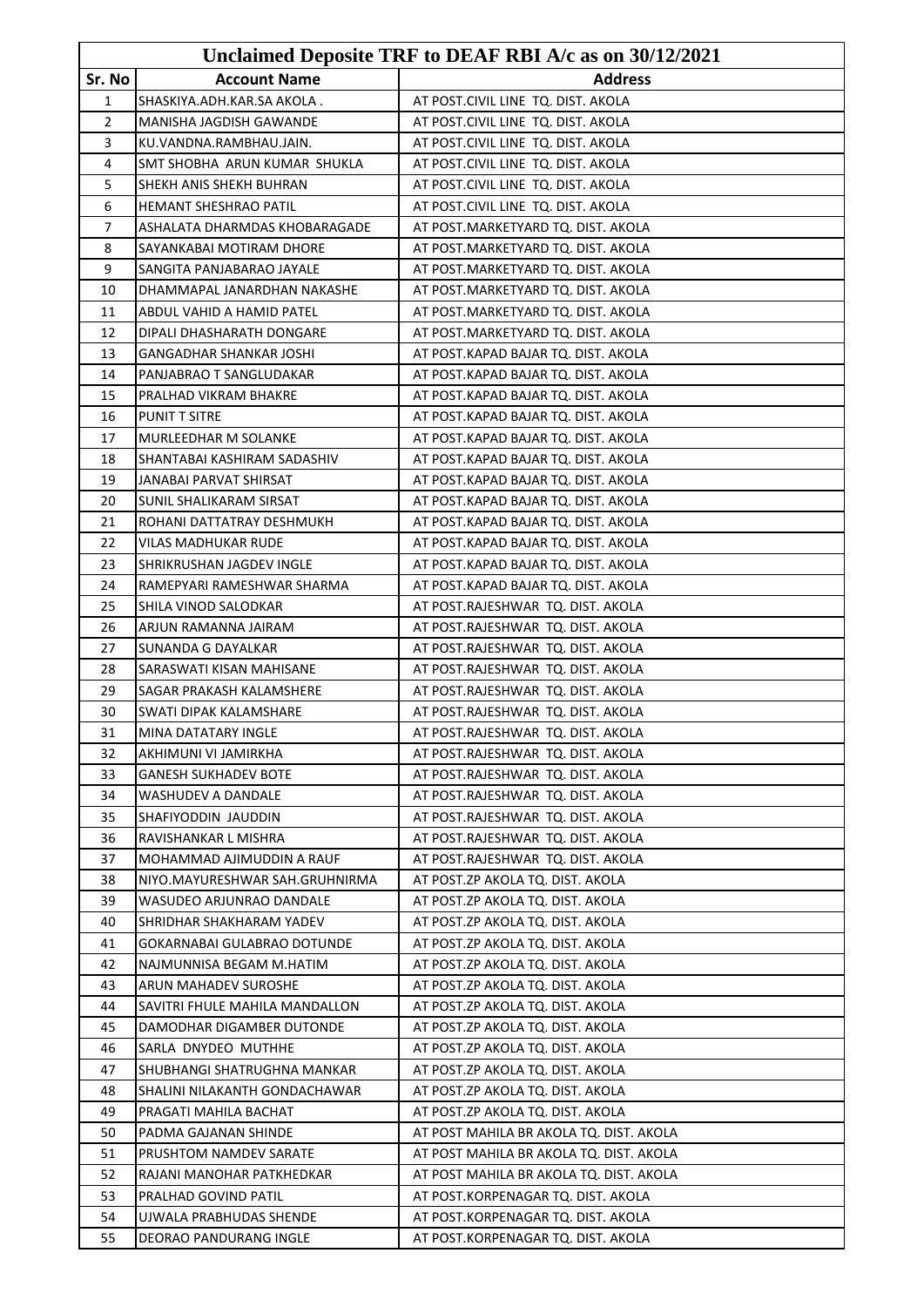|                |                                                      | Unclaimed Deposite TRF to DEAF RBI A/c as on 30/12/2021              |
|----------------|------------------------------------------------------|----------------------------------------------------------------------|
| Sr. No         | <b>Account Name</b>                                  | <b>Address</b>                                                       |
| 1              | SHASKIYA.ADH.KAR.SA AKOLA.                           | AT POST.CIVIL LINE TQ. DIST. AKOLA                                   |
| $\overline{2}$ | MANISHA JAGDISH GAWANDE                              | AT POST.CIVIL LINE TQ. DIST. AKOLA                                   |
| 3              | KU.VANDNA.RAMBHAU.JAIN.                              | AT POST.CIVIL LINE TQ. DIST. AKOLA                                   |
| 4              | SMT SHOBHA ARUN KUMAR SHUKLA                         | AT POST.CIVIL LINE TQ. DIST. AKOLA                                   |
| 5              | SHEKH ANIS SHEKH BUHRAN                              | AT POST.CIVIL LINE TQ. DIST. AKOLA                                   |
| 6              | HEMANT SHESHRAO PATIL                                | AT POST.CIVIL LINE TQ. DIST. AKOLA                                   |
| 7              | ASHALATA DHARMDAS KHOBARAGADE                        | AT POST.MARKETYARD TQ. DIST. AKOLA                                   |
| 8              | SAYANKABAI MOTIRAM DHORE                             | AT POST.MARKETYARD TQ. DIST. AKOLA                                   |
| 9              | SANGITA PANJABARAO JAYALE                            | AT POST.MARKETYARD TQ. DIST. AKOLA                                   |
| 10             | DHAMMAPAL JANARDHAN NAKASHE                          | AT POST.MARKETYARD TQ. DIST. AKOLA                                   |
| 11             | ABDUL VAHID A HAMID PATEL                            | AT POST.MARKETYARD TQ. DIST. AKOLA                                   |
| 12             | DIPALI DHASHARATH DONGARE                            | AT POST.MARKETYARD TQ. DIST. AKOLA                                   |
| 13             | GANGADHAR SHANKAR JOSHI                              | AT POST.KAPAD BAJAR TQ. DIST. AKOLA                                  |
| 14             | PANJABRAO T SANGLUDAKAR                              | AT POST.KAPAD BAJAR TQ. DIST. AKOLA                                  |
| 15             | PRALHAD VIKRAM BHAKRE                                | AT POST.KAPAD BAJAR TQ. DIST. AKOLA                                  |
| 16             | PUNIT T SITRE                                        | AT POST.KAPAD BAJAR TQ. DIST. AKOLA                                  |
| 17             | MURLEEDHAR M SOLANKE                                 | AT POST.KAPAD BAJAR TQ. DIST. AKOLA                                  |
| 18             | SHANTABAI KASHIRAM SADASHIV                          | AT POST.KAPAD BAJAR TQ. DIST. AKOLA                                  |
| 19             | JANABAI PARVAT SHIRSAT                               | AT POST.KAPAD BAJAR TQ. DIST. AKOLA                                  |
| 20             | SUNIL SHALIKARAM SIRSAT                              | AT POST.KAPAD BAJAR TQ. DIST. AKOLA                                  |
| 21             | ROHANI DATTATRAY DESHMUKH                            | AT POST.KAPAD BAJAR TQ. DIST. AKOLA                                  |
| 22             | VILAS MADHUKAR RUDE                                  | AT POST.KAPAD BAJAR TQ. DIST. AKOLA                                  |
| 23             | SHRIKRUSHAN JAGDEV INGLE                             | AT POST.KAPAD BAJAR TQ. DIST. AKOLA                                  |
| 24             | RAMEPYARI RAMESHWAR SHARMA                           | AT POST.KAPAD BAJAR TQ. DIST. AKOLA                                  |
| 25             | SHILA VINOD SALODKAR                                 | AT POST.RAJESHWAR TQ. DIST. AKOLA                                    |
| 26             | ARJUN RAMANNA JAIRAM                                 | AT POST.RAJESHWAR TQ. DIST. AKOLA                                    |
| 27             | SUNANDA G DAYALKAR                                   | AT POST.RAJESHWAR TQ. DIST. AKOLA                                    |
| 28             | SARASWATI KISAN MAHISANE                             | AT POST.RAJESHWAR TQ. DIST. AKOLA                                    |
| 29             | SAGAR PRAKASH KALAMSHERE                             | AT POST.RAJESHWAR TQ. DIST. AKOLA                                    |
| 30             | SWATI DIPAK KALAMSHARE                               | AT POST.RAJESHWAR TQ. DIST. AKOLA                                    |
| 31             | MINA DATATARY INGLE                                  | AT POST.RAJESHWAR TQ. DIST. AKOLA                                    |
| 32             | AKHIMUNI VI JAMIRKHA                                 | AT POST.RAJESHWAR TQ. DIST. AKOLA                                    |
| 33             | GANESH SUKHADEV BOTE                                 | AT POST.RAJESHWAR TQ. DIST. AKOLA                                    |
| 34             | WASHUDEV A DANDALE                                   | AT POST.RAJESHWAR TQ. DIST. AKOLA                                    |
| 35             | SHAFIYODDIN JAUDDIN                                  | AT POST.RAJESHWAR TQ. DIST. AKOLA                                    |
| 36             | RAVISHANKAR L MISHRA                                 | AT POST. RAJESHWAR TO. DIST. AKOLA                                   |
| 37             | MOHAMMAD AJIMUDDIN A RAUF                            | AT POST.RAJESHWAR TQ. DIST. AKOLA                                    |
| 38             | NIYO.MAYURESHWAR SAH.GRUHNIRMA                       | AT POST.ZP AKOLA TQ. DIST. AKOLA                                     |
| 39<br>40       | WASUDEO ARJUNRAO DANDALE<br>SHRIDHAR SHAKHARAM YADEV | AT POST.ZP AKOLA TQ. DIST. AKOLA<br>AT POST.ZP AKOLA TQ. DIST. AKOLA |
| 41             | GOKARNABAI GULABRAO DOTUNDE                          | AT POST.ZP AKOLA TQ. DIST. AKOLA                                     |
| 42             | NAJMUNNISA BEGAM M.HATIM                             | AT POST.ZP AKOLA TQ. DIST. AKOLA                                     |
| 43             | ARUN MAHADEV SUROSHE                                 | AT POST.ZP AKOLA TQ. DIST. AKOLA                                     |
| 44             | SAVITRI FHULE MAHILA MANDALLON                       | AT POST.ZP AKOLA TQ. DIST. AKOLA                                     |
| 45             | DAMODHAR DIGAMBER DUTONDE                            | AT POST.ZP AKOLA TQ. DIST. AKOLA                                     |
| 46             | SARLA DNYDEO MUTHHE                                  | AT POST.ZP AKOLA TQ. DIST. AKOLA                                     |
| 47             | SHUBHANGI SHATRUGHNA MANKAR                          | AT POST.ZP AKOLA TQ. DIST. AKOLA                                     |
| 48             | SHALINI NILAKANTH GONDACHAWAR                        | AT POST.ZP AKOLA TQ. DIST. AKOLA                                     |
| 49             | PRAGATI MAHILA BACHAT                                | AT POST.ZP AKOLA TQ. DIST. AKOLA                                     |
| 50             | PADMA GAJANAN SHINDE                                 | AT POST MAHILA BR AKOLA TQ. DIST. AKOLA                              |
| 51             | PRUSHTOM NAMDEV SARATE                               | AT POST MAHILA BR AKOLA TQ. DIST. AKOLA                              |
| 52             | RAJANI MANOHAR PATKHEDKAR                            | AT POST MAHILA BR AKOLA TQ. DIST. AKOLA                              |
| 53             | PRALHAD GOVIND PATIL                                 | AT POST.KORPENAGAR TQ. DIST. AKOLA                                   |
| 54             | UJWALA PRABHUDAS SHENDE                              | AT POST.KORPENAGAR TQ. DIST. AKOLA                                   |
| 55             | DEORAO PANDURANG INGLE                               | AT POST.KORPENAGAR TQ. DIST. AKOLA                                   |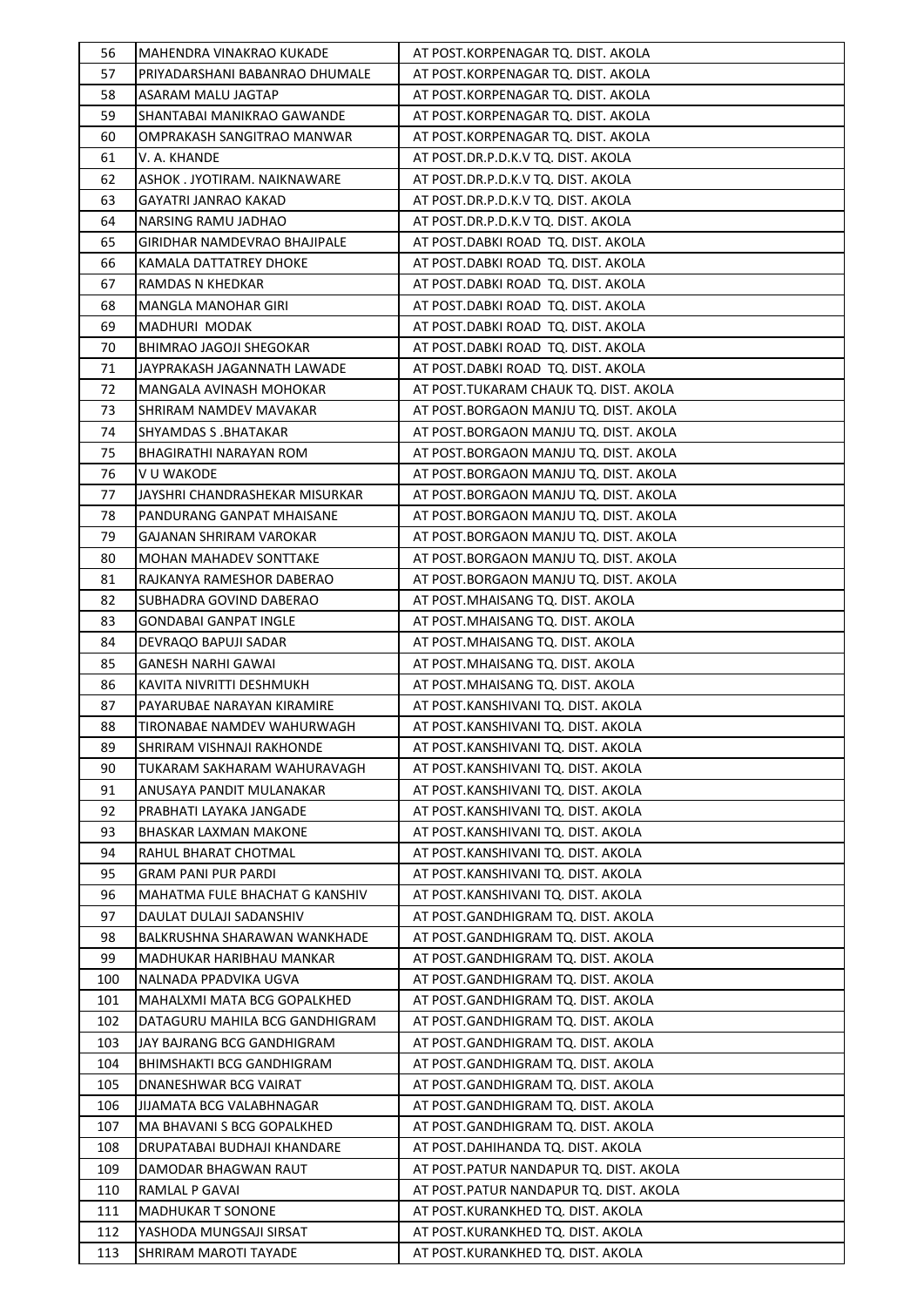| 56  | MAHENDRA VINAKRAO KUKADE       | AT POST.KORPENAGAR TQ. DIST. AKOLA      |
|-----|--------------------------------|-----------------------------------------|
| 57  | PRIYADARSHANI BABANRAO DHUMALE | AT POST.KORPENAGAR TQ. DIST. AKOLA      |
| 58  | ASARAM MALU JAGTAP             | AT POST.KORPENAGAR TQ. DIST. AKOLA      |
| 59  | SHANTABAI MANIKRAO GAWANDE     | AT POST.KORPENAGAR TQ. DIST. AKOLA      |
| 60  | OMPRAKASH SANGITRAO MANWAR     | AT POST.KORPENAGAR TQ. DIST. AKOLA      |
| 61  | V. A. KHANDE                   | AT POST.DR.P.D.K.V TQ. DIST. AKOLA      |
| 62  | ASHOK . JYOTIRAM. NAIKNAWARE   | AT POST.DR.P.D.K.V TQ. DIST. AKOLA      |
| 63  | GAYATRI JANRAO KAKAD           | AT POST.DR.P.D.K.V TQ. DIST. AKOLA      |
| 64  | NARSING RAMU JADHAO            | AT POST.DR.P.D.K.V TQ. DIST. AKOLA      |
| 65  | GIRIDHAR NAMDEVRAO BHAJIPALE   | AT POST.DABKI ROAD TQ. DIST. AKOLA      |
| 66  | KAMALA DATTATREY DHOKE         | AT POST.DABKI ROAD TQ. DIST. AKOLA      |
| 67  | RAMDAS N KHEDKAR               | AT POST.DABKI ROAD TQ. DIST. AKOLA      |
| 68  | MANGLA MANOHAR GIRI            | AT POST.DABKI ROAD TQ. DIST. AKOLA      |
| 69  | MADHURI MODAK                  | AT POST.DABKI ROAD TQ. DIST. AKOLA      |
| 70  | BHIMRAO JAGOJI SHEGOKAR        | AT POST.DABKI ROAD TQ. DIST. AKOLA      |
| 71  | JAYPRAKASH JAGANNATH LAWADE    | AT POST.DABKI ROAD TQ. DIST. AKOLA      |
|     |                                |                                         |
| 72  | MANGALA AVINASH MOHOKAR        | AT POST.TUKARAM CHAUK TQ. DIST. AKOLA   |
| 73  | SHRIRAM NAMDEV MAVAKAR         | AT POST.BORGAON MANJU TQ. DIST. AKOLA   |
| 74  | SHYAMDAS S . BHATAKAR          | AT POST.BORGAON MANJU TQ. DIST. AKOLA   |
| 75  | BHAGIRATHI NARAYAN ROM         | AT POST.BORGAON MANJU TQ. DIST. AKOLA   |
| 76  | V U WAKODE                     | AT POST.BORGAON MANJU TQ. DIST. AKOLA   |
| 77  | JAYSHRI CHANDRASHEKAR MISURKAR | AT POST.BORGAON MANJU TQ. DIST. AKOLA   |
| 78  | PANDURANG GANPAT MHAISANE      | AT POST.BORGAON MANJU TQ. DIST. AKOLA   |
| 79  | GAJANAN SHRIRAM VAROKAR        | AT POST.BORGAON MANJU TQ. DIST. AKOLA   |
| 80  | MOHAN MAHADEV SONTTAKE         | AT POST.BORGAON MANJU TQ. DIST. AKOLA   |
| 81  | RAJKANYA RAMESHOR DABERAO      | AT POST.BORGAON MANJU TQ. DIST. AKOLA   |
| 82  | SUBHADRA GOVIND DABERAO        | AT POST.MHAISANG TQ. DIST. AKOLA        |
| 83  | <b>GONDABAI GANPAT INGLE</b>   | AT POST. MHAISANG TQ. DIST. AKOLA       |
| 84  | DEVRAQO BAPUJI SADAR           | AT POST. MHAISANG TQ. DIST. AKOLA       |
| 85  | <b>GANESH NARHI GAWAI</b>      | AT POST. MHAISANG TQ. DIST. AKOLA       |
| 86  | KAVITA NIVRITTI DESHMUKH       | AT POST. MHAISANG TQ. DIST. AKOLA       |
| 87  | PAYARUBAE NARAYAN KIRAMIRE     | AT POST.KANSHIVANI TQ. DIST. AKOLA      |
| 88  | TIRONABAE NAMDEV WAHURWAGH     | AT POST.KANSHIVANI TQ. DIST. AKOLA      |
| 89  | SHRIRAM VISHNAJI RAKHONDE      | AT POST.KANSHIVANI TQ. DIST. AKOLA      |
| 90  | TUKARAM SAKHARAM WAHURAVAGH    | AT POST.KANSHIVANI TQ. DIST. AKOLA      |
| 91  | ANUSAYA PANDIT MULANAKAR       | AT POST.KANSHIVANI TQ. DIST. AKOLA      |
| 92  | PRABHATI LAYAKA JANGADE        | AT POST.KANSHIVANI TQ. DIST. AKOLA      |
| 93  | BHASKAR LAXMAN MAKONE          | AT POST.KANSHIVANI TQ. DIST. AKOLA      |
| 94  | RAHUL BHARAT CHOTMAL           | AT POST.KANSHIVANI TQ. DIST. AKOLA      |
| 95  | <b>GRAM PANI PUR PARDI</b>     | AT POST.KANSHIVANI TQ. DIST. AKOLA      |
| 96  | MAHATMA FULE BHACHAT G KANSHIV | AT POST.KANSHIVANI TQ. DIST. AKOLA      |
| 97  | DAULAT DULAJI SADANSHIV        | AT POST.GANDHIGRAM TQ. DIST. AKOLA      |
| 98  | BALKRUSHNA SHARAWAN WANKHADE   | AT POST.GANDHIGRAM TQ. DIST. AKOLA      |
| 99  | MADHUKAR HARIBHAU MANKAR       | AT POST.GANDHIGRAM TQ. DIST. AKOLA      |
| 100 | NALNADA PPADVIKA UGVA          | AT POST.GANDHIGRAM TQ. DIST. AKOLA      |
| 101 | MAHALXMI MATA BCG GOPALKHED    | AT POST.GANDHIGRAM TQ. DIST. AKOLA      |
| 102 | DATAGURU MAHILA BCG GANDHIGRAM | AT POST.GANDHIGRAM TQ. DIST. AKOLA      |
| 103 | JAY BAJRANG BCG GANDHIGRAM     | AT POST.GANDHIGRAM TQ. DIST. AKOLA      |
| 104 | BHIMSHAKTI BCG GANDHIGRAM      | AT POST.GANDHIGRAM TQ. DIST. AKOLA      |
| 105 | DNANESHWAR BCG VAIRAT          | AT POST.GANDHIGRAM TQ. DIST. AKOLA      |
| 106 | JIJAMATA BCG VALABHNAGAR       | AT POST.GANDHIGRAM TQ. DIST. AKOLA      |
| 107 | MA BHAVANI S BCG GOPALKHED     | AT POST.GANDHIGRAM TQ. DIST. AKOLA      |
| 108 | DRUPATABAI BUDHAJI KHANDARE    | AT POST.DAHIHANDA TQ. DIST. AKOLA       |
| 109 | DAMODAR BHAGWAN RAUT           | AT POST. PATUR NANDAPUR TQ. DIST. AKOLA |
| 110 | RAMLAL P GAVAI                 | AT POST. PATUR NANDAPUR TQ. DIST. AKOLA |
| 111 | <b>MADHUKAR T SONONE</b>       | AT POST.KURANKHED TQ. DIST. AKOLA       |
| 112 | YASHODA MUNGSAJI SIRSAT        | AT POST.KURANKHED TQ. DIST. AKOLA       |
|     | SHRIRAM MAROTI TAYADE          | AT POST.KURANKHED TQ. DIST. AKOLA       |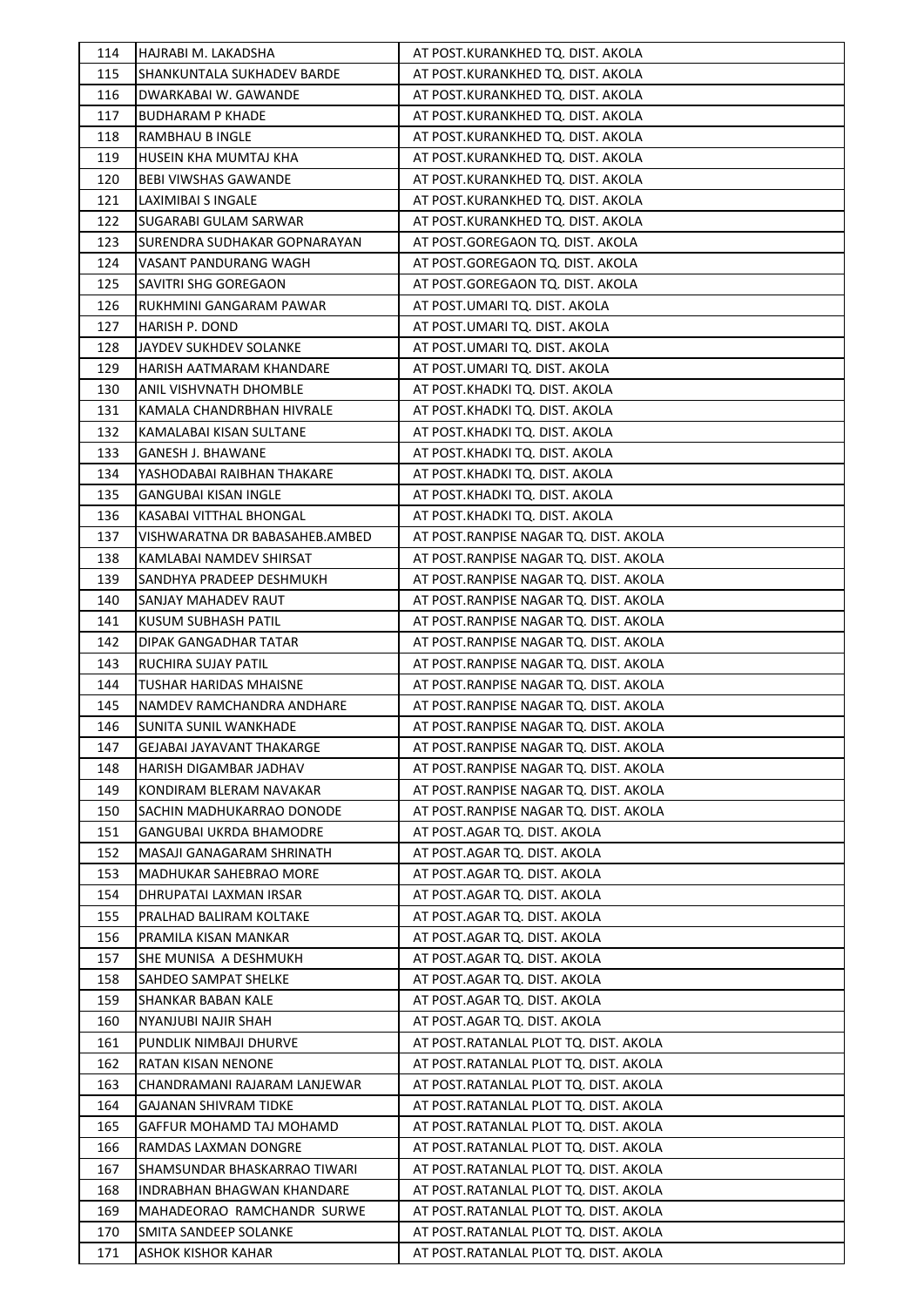| 114 | HAJRABI M. LAKADSHA            | AT POST.KURANKHED TQ. DIST. AKOLA      |
|-----|--------------------------------|----------------------------------------|
| 115 | SHANKUNTALA SUKHADEV BARDE     | AT POST.KURANKHED TQ. DIST. AKOLA      |
| 116 | DWARKABAI W. GAWANDE           | AT POST.KURANKHED TQ. DIST. AKOLA      |
| 117 | <b>BUDHARAM P KHADE</b>        | AT POST.KURANKHED TQ. DIST. AKOLA      |
| 118 | RAMBHAU B INGLE                | AT POST.KURANKHED TQ. DIST. AKOLA      |
| 119 | HUSEIN KHA MUMTAJ KHA          | AT POST.KURANKHED TQ. DIST. AKOLA      |
| 120 | BEBI VIWSHAS GAWANDE           | AT POST.KURANKHED TQ. DIST. AKOLA      |
| 121 | LAXIMIBAI S INGALE             | AT POST.KURANKHED TQ. DIST. AKOLA      |
| 122 | SUGARABI GULAM SARWAR          | AT POST.KURANKHED TQ. DIST. AKOLA      |
| 123 | SURENDRA SUDHAKAR GOPNARAYAN   | AT POST.GOREGAON TQ. DIST. AKOLA       |
| 124 | VASANT PANDURANG WAGH          | AT POST.GOREGAON TQ. DIST. AKOLA       |
| 125 | SAVITRI SHG GOREGAON           | AT POST.GOREGAON TQ. DIST. AKOLA       |
| 126 | RUKHMINI GANGARAM PAWAR        | AT POST.UMARI TQ. DIST. AKOLA          |
| 127 | HARISH P. DOND                 | AT POST.UMARI TQ. DIST. AKOLA          |
| 128 | JAYDEV SUKHDEV SOLANKE         | AT POST.UMARI TQ. DIST. AKOLA          |
| 129 | HARISH AATMARAM KHANDARE       | AT POST.UMARI TQ. DIST. AKOLA          |
| 130 | ANIL VISHVNATH DHOMBLE         | AT POST.KHADKI TQ. DIST. AKOLA         |
| 131 | KAMALA CHANDRBHAN HIVRALE      | AT POST.KHADKI TQ. DIST. AKOLA         |
| 132 | KAMALABAI KISAN SULTANE        | AT POST.KHADKI TQ. DIST. AKOLA         |
| 133 | GANESH J. BHAWANE              | AT POST.KHADKI TQ. DIST. AKOLA         |
| 134 | YASHODABAI RAIBHAN THAKARE     | AT POST.KHADKI TQ. DIST. AKOLA         |
| 135 | <b>GANGUBAI KISAN INGLE</b>    | AT POST.KHADKI TQ. DIST. AKOLA         |
| 136 | KASABAI VITTHAL BHONGAL        | AT POST.KHADKI TQ. DIST. AKOLA         |
| 137 | VISHWARATNA DR BABASAHEB.AMBED | AT POST.RANPISE NAGAR TQ. DIST. AKOLA  |
| 138 | KAMLABAI NAMDEV SHIRSAT        | AT POST.RANPISE NAGAR TQ. DIST. AKOLA  |
| 139 | SANDHYA PRADEEP DESHMUKH       | AT POST.RANPISE NAGAR TQ. DIST. AKOLA  |
| 140 | SANJAY MAHADEV RAUT            | AT POST.RANPISE NAGAR TQ. DIST. AKOLA  |
| 141 | KUSUM SUBHASH PATIL            | AT POST.RANPISE NAGAR TQ. DIST. AKOLA  |
| 142 | DIPAK GANGADHAR TATAR          | AT POST.RANPISE NAGAR TQ. DIST. AKOLA  |
| 143 | RUCHIRA SUJAY PATIL            | AT POST.RANPISE NAGAR TQ. DIST. AKOLA  |
| 144 | TUSHAR HARIDAS MHAISNE         | AT POST.RANPISE NAGAR TQ. DIST. AKOLA  |
| 145 | NAMDEV RAMCHANDRA ANDHARE      | AT POST.RANPISE NAGAR TQ. DIST. AKOLA  |
| 146 | SUNITA SUNIL WANKHADE          | AT POST.RANPISE NAGAR TQ. DIST. AKOLA  |
| 147 | GEJABAI JAYAVANT THAKARGE      | AT POST.RANPISE NAGAR TQ. DIST. AKOLA  |
| 148 | HARISH DIGAMBAR JADHAV         | AT POST.RANPISE NAGAR TQ. DIST. AKOLA  |
| 149 | KONDIRAM BLERAM NAVAKAR        | AT POST.RANPISE NAGAR TQ. DIST. AKOLA  |
| 150 | SACHIN MADHUKARRAO DONODE      | AT POST.RANPISE NAGAR TQ. DIST. AKOLA  |
| 151 | GANGUBAI UKRDA BHAMODRE        | AT POST.AGAR TQ. DIST. AKOLA           |
| 152 | MASAJI GANAGARAM SHRINATH      | AT POST.AGAR TQ. DIST. AKOLA           |
| 153 | MADHUKAR SAHEBRAO MORE         | AT POST.AGAR TQ. DIST. AKOLA           |
| 154 | DHRUPATAI LAXMAN IRSAR         | AT POST.AGAR TQ. DIST. AKOLA           |
| 155 | PRALHAD BALIRAM KOLTAKE        | AT POST.AGAR TQ. DIST. AKOLA           |
| 156 | PRAMILA KISAN MANKAR           | AT POST.AGAR TQ. DIST. AKOLA           |
| 157 | SHE MUNISA A DESHMUKH          | AT POST.AGAR TQ. DIST. AKOLA           |
| 158 | SAHDEO SAMPAT SHELKE           | AT POST.AGAR TQ. DIST. AKOLA           |
| 159 | SHANKAR BABAN KALE             | AT POST.AGAR TQ. DIST. AKOLA           |
| 160 | NYANJUBI NAJIR SHAH            | AT POST.AGAR TQ. DIST. AKOLA           |
| 161 | PUNDLIK NIMBAJI DHURVE         | AT POST.RATANLAL PLOT TQ. DIST. AKOLA  |
| 162 | RATAN KISAN NENONE             | AT POST.RATANLAL PLOT TQ. DIST. AKOLA  |
| 163 | CHANDRAMANI RAJARAM LANJEWAR   | AT POST.RATANLAL PLOT TQ. DIST. AKOLA  |
| 164 | GAJANAN SHIVRAM TIDKE          | AT POST.RATANLAL PLOT TQ. DIST. AKOLA  |
| 165 | GAFFUR MOHAMD TAJ MOHAMD       | AT POST.RATANLAL PLOT TQ. DIST. AKOLA  |
| 166 | RAMDAS LAXMAN DONGRE           | AT POST.RATANLAL PLOT TQ. DIST. AKOLA  |
| 167 | SHAMSUNDAR BHASKARRAO TIWARI   | AT POST. RATANLAL PLOT TQ. DIST. AKOLA |
| 168 | INDRABHAN BHAGWAN KHANDARE     | AT POST.RATANLAL PLOT TQ. DIST. AKOLA  |
| 169 | MAHADEORAO RAMCHANDR SURWE     | AT POST.RATANLAL PLOT TQ. DIST. AKOLA  |
| 170 | SMITA SANDEEP SOLANKE          | AT POST.RATANLAL PLOT TQ. DIST. AKOLA  |
| 171 | ASHOK KISHOR KAHAR             | AT POST.RATANLAL PLOT TQ. DIST. AKOLA  |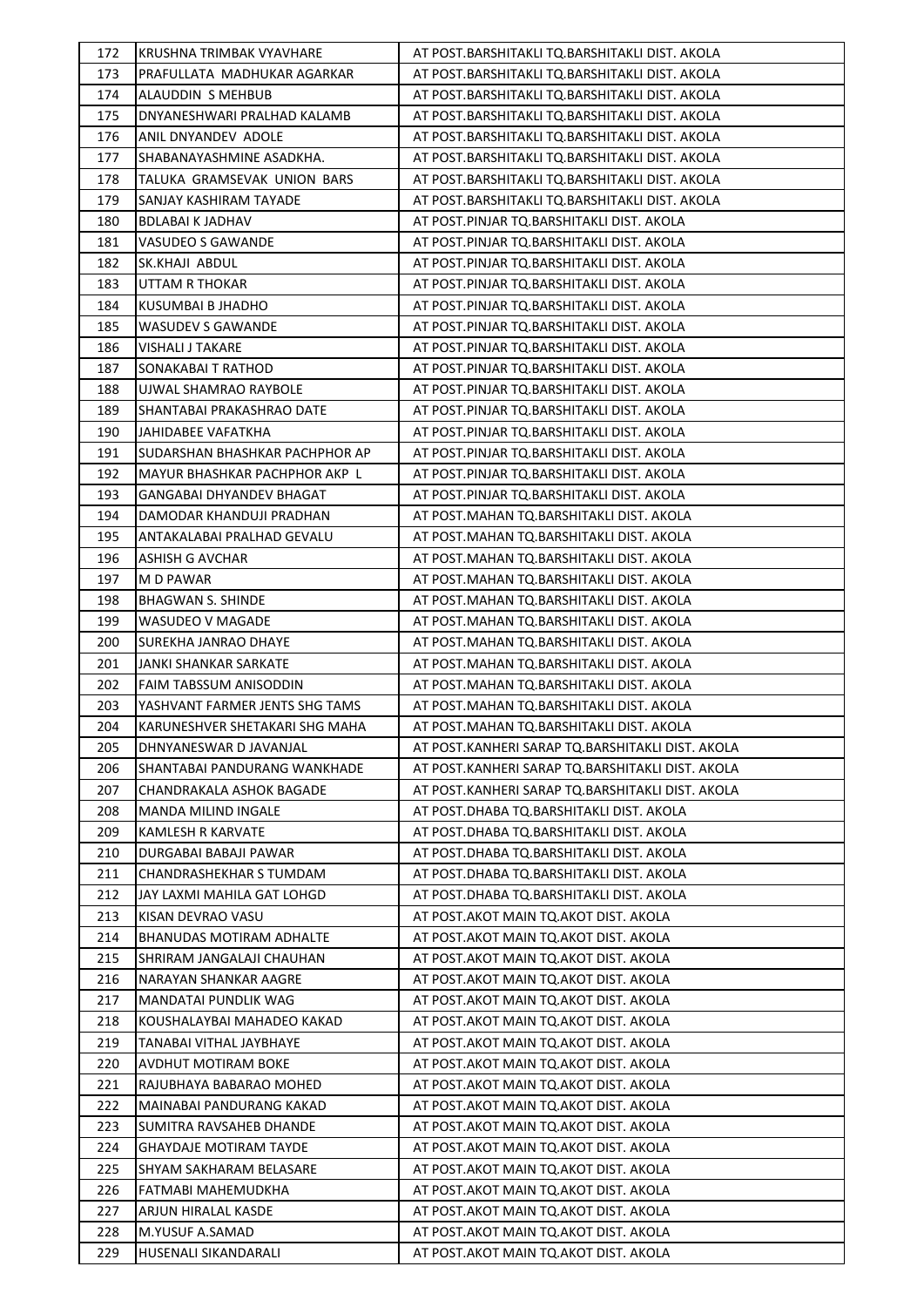| 172 | KRUSHNA TRIMBAK VYAVHARE       | AT POST.BARSHITAKLI TQ.BARSHITAKLI DIST. AKOLA   |
|-----|--------------------------------|--------------------------------------------------|
| 173 | PRAFULLATA MADHUKAR AGARKAR    | AT POST.BARSHITAKLI TQ.BARSHITAKLI DIST. AKOLA   |
| 174 | ALAUDDIN S MEHBUB              | AT POST.BARSHITAKLI TQ.BARSHITAKLI DIST. AKOLA   |
| 175 | DNYANESHWARI PRALHAD KALAMB    | AT POST.BARSHITAKLI TQ.BARSHITAKLI DIST. AKOLA   |
| 176 | ANIL DNYANDEV ADOLE            | AT POST.BARSHITAKLI TQ.BARSHITAKLI DIST. AKOLA   |
| 177 | SHABANAYASHMINE ASADKHA.       | AT POST.BARSHITAKLI TQ.BARSHITAKLI DIST. AKOLA   |
| 178 | TALUKA GRAMSEVAK UNION BARS    | AT POST.BARSHITAKLI TQ.BARSHITAKLI DIST. AKOLA   |
| 179 | SANJAY KASHIRAM TAYADE         | AT POST.BARSHITAKLI TQ.BARSHITAKLI DIST. AKOLA   |
| 180 | BDLABAI K JADHAV               | AT POST.PINJAR TQ.BARSHITAKLI DIST. AKOLA        |
| 181 | VASUDEO S GAWANDE              | AT POST.PINJAR TQ.BARSHITAKLI DIST. AKOLA        |
| 182 | SK.KHAJI ABDUL                 | AT POST.PINJAR TQ.BARSHITAKLI DIST. AKOLA        |
| 183 | UTTAM R THOKAR                 | AT POST.PINJAR TQ.BARSHITAKLI DIST. AKOLA        |
| 184 | KUSUMBAI B JHADHO              | AT POST.PINJAR TQ.BARSHITAKLI DIST. AKOLA        |
| 185 | WASUDEV S GAWANDE              | AT POST.PINJAR TQ.BARSHITAKLI DIST. AKOLA        |
| 186 | VISHALI J TAKARE               | AT POST.PINJAR TQ.BARSHITAKLI DIST. AKOLA        |
|     |                                |                                                  |
| 187 | SONAKABAI T RATHOD             | AT POST.PINJAR TQ.BARSHITAKLI DIST. AKOLA        |
| 188 | UJWAL SHAMRAO RAYBOLE          | AT POST.PINJAR TQ.BARSHITAKLI DIST. AKOLA        |
| 189 | SHANTABAI PRAKASHRAO DATE      | AT POST.PINJAR TQ.BARSHITAKLI DIST. AKOLA        |
| 190 | JAHIDABEE VAFATKHA             | AT POST.PINJAR TQ.BARSHITAKLI DIST. AKOLA        |
| 191 | SUDARSHAN BHASHKAR PACHPHOR AP | AT POST.PINJAR TQ.BARSHITAKLI DIST. AKOLA        |
| 192 | MAYUR BHASHKAR PACHPHOR AKP L  | AT POST.PINJAR TQ.BARSHITAKLI DIST. AKOLA        |
| 193 | GANGABAI DHYANDEV BHAGAT       | AT POST.PINJAR TQ.BARSHITAKLI DIST. AKOLA        |
| 194 | DAMODAR KHANDUJI PRADHAN       | AT POST. MAHAN TQ. BARSHITAKLI DIST. AKOLA       |
| 195 | ANTAKALABAI PRALHAD GEVALU     | AT POST. MAHAN TQ. BARSHITAKLI DIST. AKOLA       |
| 196 | ASHISH G AVCHAR                | AT POST. MAHAN TQ. BARSHITAKLI DIST. AKOLA       |
| 197 | <b>MD PAWAR</b>                | AT POST. MAHAN TQ. BARSHITAKLI DIST. AKOLA       |
| 198 | <b>BHAGWAN S. SHINDE</b>       | AT POST. MAHAN TQ. BARSHITAKLI DIST. AKOLA       |
| 199 | WASUDEO V MAGADE               | AT POST. MAHAN TQ. BARSHITAKLI DIST. AKOLA       |
| 200 | SUREKHA JANRAO DHAYE           | AT POST. MAHAN TQ. BARSHITAKLI DIST. AKOLA       |
| 201 | JANKI SHANKAR SARKATE          | AT POST. MAHAN TQ. BARSHITAKLI DIST. AKOLA       |
| 202 | FAIM TABSSUM ANISODDIN         | AT POST.MAHAN TQ.BARSHITAKLI DIST. AKOLA         |
| 203 | YASHVANT FARMER JENTS SHG TAMS | AT POST. MAHAN TQ. BARSHITAKLI DIST. AKOLA       |
| 204 | KARUNESHVER SHETAKARI SHG MAHA | AT POST.MAHAN TQ.BARSHITAKLI DIST. AKOLA         |
| 205 | DHNYANESWAR D JAVANJAL         | AT POST.KANHERI SARAP TQ.BARSHITAKLI DIST. AKOLA |
| 206 | SHANTABAI PANDURANG WANKHADE   | AT POST.KANHERI SARAP TQ.BARSHITAKLI DIST. AKOLA |
| 207 | CHANDRAKALA ASHOK BAGADE       | AT POST.KANHERI SARAP TQ.BARSHITAKLI DIST. AKOLA |
| 208 | <b>MANDA MILIND INGALE</b>     | AT POST.DHABA TQ.BARSHITAKLI DIST. AKOLA         |
| 209 | KAMLESH R KARVATE              | AT POST.DHABA TQ.BARSHITAKLI DIST. AKOLA         |
| 210 | DURGABAI BABAJI PAWAR          | AT POST.DHABA TQ.BARSHITAKLI DIST. AKOLA         |
| 211 | CHANDRASHEKHAR S TUMDAM        | AT POST.DHABA TQ.BARSHITAKLI DIST. AKOLA         |
| 212 | JAY LAXMI MAHILA GAT LOHGD     | AT POST.DHABA TQ.BARSHITAKLI DIST. AKOLA         |
| 213 | KISAN DEVRAO VASU              | AT POST. AKOT MAIN TO. AKOT DIST. AKOLA          |
| 214 | BHANUDAS MOTIRAM ADHALTE       | AT POST. AKOT MAIN TO. AKOT DIST. AKOLA          |
| 215 | SHRIRAM JANGALAJI CHAUHAN      | AT POST. AKOT MAIN TO. AKOT DIST. AKOLA          |
| 216 | NARAYAN SHANKAR AAGRE          | AT POST. AKOT MAIN TO. AKOT DIST. AKOLA          |
| 217 | MANDATAI PUNDLIK WAG           | AT POST. AKOT MAIN TO. AKOT DIST. AKOLA          |
| 218 | KOUSHALAYBAI MAHADEO KAKAD     | AT POST. AKOT MAIN TO. AKOT DIST. AKOLA          |
| 219 | TANABAI VITHAL JAYBHAYE        | AT POST. AKOT MAIN TO. AKOT DIST. AKOLA          |
| 220 | <b>AVDHUT MOTIRAM BOKE</b>     | AT POST. AKOT MAIN TQ. AKOT DIST. AKOLA          |
| 221 | RAJUBHAYA BABARAO MOHED        | AT POST. AKOT MAIN TO. AKOT DIST. AKOLA          |
| 222 | MAINABAI PANDURANG KAKAD       | AT POST. AKOT MAIN TO. AKOT DIST. AKOLA          |
| 223 | SUMITRA RAVSAHEB DHANDE        | AT POST. AKOT MAIN TO. AKOT DIST. AKOLA          |
| 224 | <b>GHAYDAJE MOTIRAM TAYDE</b>  | AT POST. AKOT MAIN TO. AKOT DIST. AKOLA          |
|     |                                |                                                  |
| 225 | SHYAM SAKHARAM BELASARE        | AT POST. AKOT MAIN TO. AKOT DIST. AKOLA          |
| 226 | FATMABI MAHEMUDKHA             | AT POST. AKOT MAIN TO. AKOT DIST. AKOLA          |
| 227 | ARJUN HIRALAL KASDE            | AT POST. AKOT MAIN TO. AKOT DIST. AKOLA          |
| 228 | M.YUSUF A.SAMAD                | AT POST. AKOT MAIN TO. AKOT DIST. AKOLA          |
| 229 | HUSENALI SIKANDARALI           | AT POST. AKOT MAIN TQ. AKOT DIST. AKOLA          |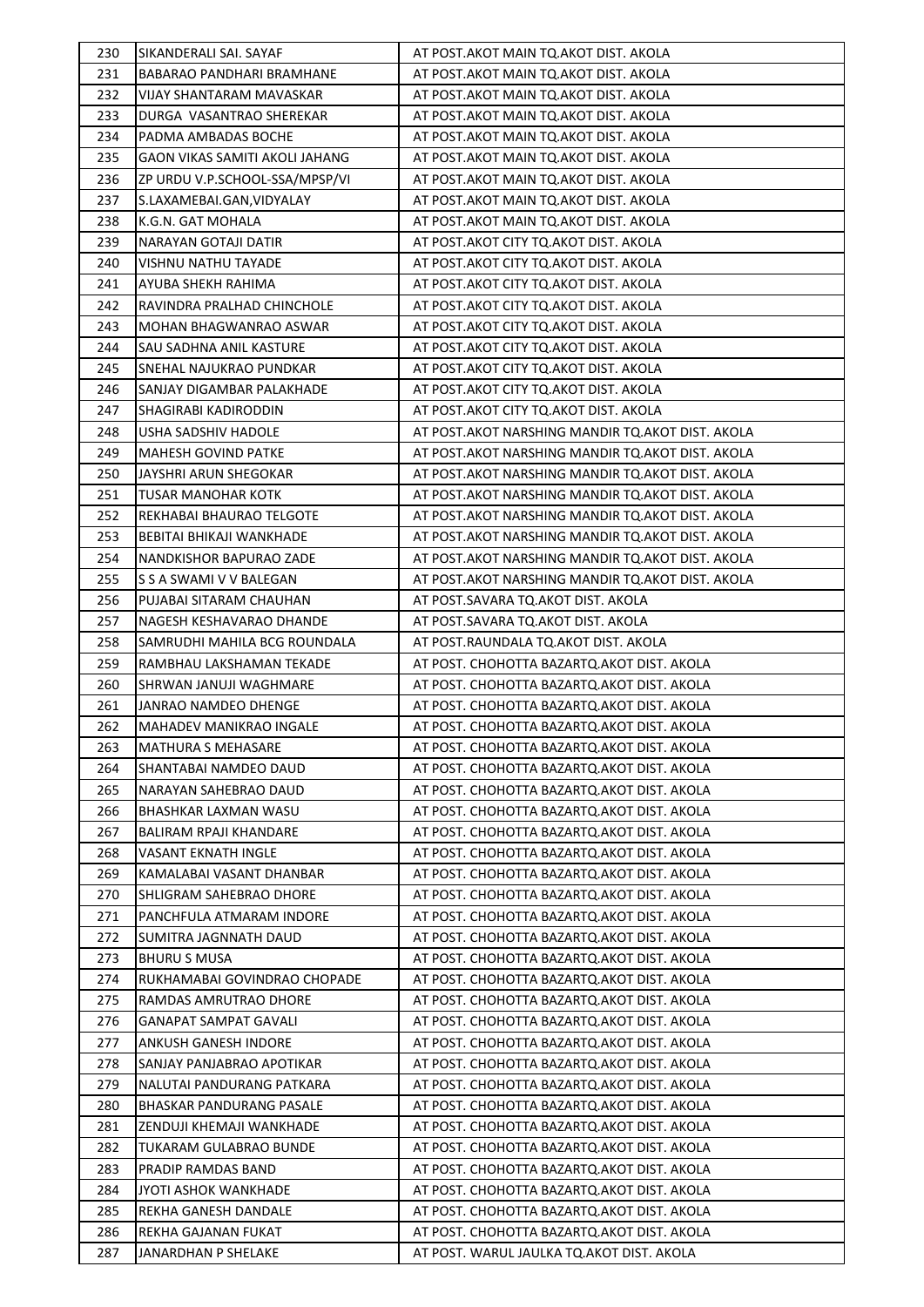| 230 | SIKANDERALI SAI. SAYAF                | AT POST.AKOT MAIN TQ.AKOT DIST. AKOLA              |
|-----|---------------------------------------|----------------------------------------------------|
| 231 | BABARAO PANDHARI BRAMHANE             | AT POST. AKOT MAIN TO. AKOT DIST. AKOLA            |
| 232 | VIJAY SHANTARAM MAVASKAR              | AT POST. AKOT MAIN TO. AKOT DIST. AKOLA            |
| 233 | DURGA VASANTRAO SHEREKAR              | AT POST. AKOT MAIN TO. AKOT DIST. AKOLA            |
| 234 | PADMA AMBADAS BOCHE                   | AT POST. AKOT MAIN TO. AKOT DIST. AKOLA            |
| 235 | <b>GAON VIKAS SAMITI AKOLI JAHANG</b> | AT POST. AKOT MAIN TO. AKOT DIST. AKOLA            |
| 236 | ZP URDU V.P.SCHOOL-SSA/MPSP/VI        | AT POST. AKOT MAIN TO. AKOT DIST. AKOLA            |
| 237 | S.LAXAMEBAI.GAN, VIDYALAY             | AT POST. AKOT MAIN TO. AKOT DIST. AKOLA            |
| 238 | K.G.N. GAT MOHALA                     | AT POST. AKOT MAIN TO. AKOT DIST. AKOLA            |
| 239 | NARAYAN GOTAJI DATIR                  | AT POST. AKOT CITY TO. AKOT DIST. AKOLA            |
| 240 | VISHNU NATHU TAYADE                   | AT POST. AKOT CITY TO. AKOT DIST. AKOLA            |
| 241 | AYUBA SHEKH RAHIMA                    | AT POST. AKOT CITY TO. AKOT DIST. AKOLA            |
| 242 | RAVINDRA PRALHAD CHINCHOLE            | AT POST. AKOT CITY TO. AKOT DIST. AKOLA            |
| 243 | MOHAN BHAGWANRAO ASWAR                | AT POST. AKOT CITY TO. AKOT DIST. AKOLA            |
| 244 | SAU SADHNA ANIL KASTURE               | AT POST.AKOT CITY TQ.AKOT DIST. AKOLA              |
| 245 | SNEHAL NAJUKRAO PUNDKAR               | AT POST.AKOT CITY TQ.AKOT DIST. AKOLA              |
| 246 | SANJAY DIGAMBAR PALAKHADE             | AT POST. AKOT CITY TO. AKOT DIST. AKOLA            |
| 247 | SHAGIRABI KADIRODDIN                  | AT POST. AKOT CITY TO. AKOT DIST. AKOLA            |
| 248 | USHA SADSHIV HADOLE                   | AT POST. AKOT NARSHING MANDIR TQ. AKOT DIST. AKOLA |
| 249 | MAHESH GOVIND PATKE                   | AT POST.AKOT NARSHING MANDIR TQ.AKOT DIST. AKOLA   |
| 250 | JAYSHRI ARUN SHEGOKAR                 | AT POST. AKOT NARSHING MANDIR TQ. AKOT DIST. AKOLA |
| 251 | TUSAR MANOHAR KOTK                    | AT POST. AKOT NARSHING MANDIR TQ. AKOT DIST. AKOLA |
| 252 | REKHABAI BHAURAO TELGOTE              | AT POST. AKOT NARSHING MANDIR TQ. AKOT DIST. AKOLA |
| 253 | BEBITAI BHIKAJI WANKHADE              | AT POST. AKOT NARSHING MANDIR TQ. AKOT DIST. AKOLA |
| 254 | NANDKISHOR BAPURAO ZADE               | AT POST. AKOT NARSHING MANDIR TQ. AKOT DIST. AKOLA |
| 255 | S S A SWAMI V V BALEGAN               | AT POST. AKOT NARSHING MANDIR TO AKOT DIST. AKOLA  |
| 256 | PUJABAI SITARAM CHAUHAN               | AT POST.SAVARA TQ.AKOT DIST. AKOLA                 |
| 257 | NAGESH KESHAVARAO DHANDE              | AT POST.SAVARA TQ.AKOT DIST. AKOLA                 |
| 258 | SAMRUDHI MAHILA BCG ROUNDALA          | AT POST.RAUNDALA TQ.AKOT DIST. AKOLA               |
| 259 | RAMBHAU LAKSHAMAN TEKADE              | AT POST. CHOHOTTA BAZARTQ. AKOT DIST. AKOLA        |
| 260 | SHRWAN JANUJI WAGHMARE                | AT POST. CHOHOTTA BAZARTQ. AKOT DIST. AKOLA        |
| 261 | JANRAO NAMDEO DHENGE                  | AT POST. CHOHOTTA BAZARTQ. AKOT DIST. AKOLA        |
| 262 | MAHADEV MANIKRAO INGALE               | AT POST. CHOHOTTA BAZARTQ.AKOT DIST. AKOLA         |
| 263 | <b>MATHURA S MEHASARE</b>             | AT POST. CHOHOTTA BAZARTQ. AKOT DIST. AKOLA        |
| 264 | SHANTABAI NAMDEO DAUD                 | AT POST. CHOHOTTA BAZARTQ. AKOT DIST. AKOLA        |
| 265 | NARAYAN SAHEBRAO DAUD                 | AT POST. CHOHOTTA BAZARTQ.AKOT DIST. AKOLA         |
| 266 | BHASHKAR LAXMAN WASU                  | AT POST. CHOHOTTA BAZARTQ. AKOT DIST. AKOLA        |
| 267 | BALIRAM RPAJI KHANDARE                | AT POST. CHOHOTTA BAZARTQ.AKOT DIST. AKOLA         |
| 268 | VASANT EKNATH INGLE                   | AT POST. CHOHOTTA BAZARTQ.AKOT DIST. AKOLA         |
| 269 | KAMALABAI VASANT DHANBAR              | AT POST. CHOHOTTA BAZARTQ. AKOT DIST. AKOLA        |
| 270 | SHLIGRAM SAHEBRAO DHORE               | AT POST. CHOHOTTA BAZARTQ.AKOT DIST. AKOLA         |
| 271 | PANCHFULA ATMARAM INDORE              | AT POST. CHOHOTTA BAZARTQ.AKOT DIST. AKOLA         |
| 272 | SUMITRA JAGNNATH DAUD                 | AT POST. CHOHOTTA BAZARTQ.AKOT DIST. AKOLA         |
| 273 | <b>BHURU S MUSA</b>                   | AT POST. CHOHOTTA BAZARTQ.AKOT DIST. AKOLA         |
| 274 | RUKHAMABAI GOVINDRAO CHOPADE          | AT POST. CHOHOTTA BAZARTQ. AKOT DIST. AKOLA        |
| 275 | RAMDAS AMRUTRAO DHORE                 | AT POST. CHOHOTTA BAZARTQ. AKOT DIST. AKOLA        |
| 276 | <b>GANAPAT SAMPAT GAVALI</b>          | AT POST. CHOHOTTA BAZARTQ. AKOT DIST. AKOLA        |
| 277 | ANKUSH GANESH INDORE                  | AT POST. CHOHOTTA BAZARTQ. AKOT DIST. AKOLA        |
| 278 | SANJAY PANJABRAO APOTIKAR             | AT POST. CHOHOTTA BAZARTQ.AKOT DIST. AKOLA         |
| 279 | NALUTAI PANDURANG PATKARA             | AT POST. CHOHOTTA BAZARTQ. AKOT DIST. AKOLA        |
| 280 | BHASKAR PANDURANG PASALE              | AT POST. CHOHOTTA BAZARTQ.AKOT DIST. AKOLA         |
| 281 | ZENDUJI KHEMAJI WANKHADE              | AT POST. CHOHOTTA BAZARTQ. AKOT DIST. AKOLA        |
| 282 | TUKARAM GULABRAO BUNDE                | AT POST. CHOHOTTA BAZARTQ. AKOT DIST. AKOLA        |
| 283 | PRADIP RAMDAS BAND                    | AT POST. CHOHOTTA BAZARTQ. AKOT DIST. AKOLA        |
| 284 | JYOTI ASHOK WANKHADE                  | AT POST. CHOHOTTA BAZARTQ. AKOT DIST. AKOLA        |
| 285 | REKHA GANESH DANDALE                  | AT POST. CHOHOTTA BAZARTQ. AKOT DIST. AKOLA        |
| 286 | REKHA GAJANAN FUKAT                   | AT POST. CHOHOTTA BAZARTQ. AKOT DIST. AKOLA        |
| 287 | JANARDHAN P SHELAKE                   | AT POST. WARUL JAULKA TQ.AKOT DIST. AKOLA          |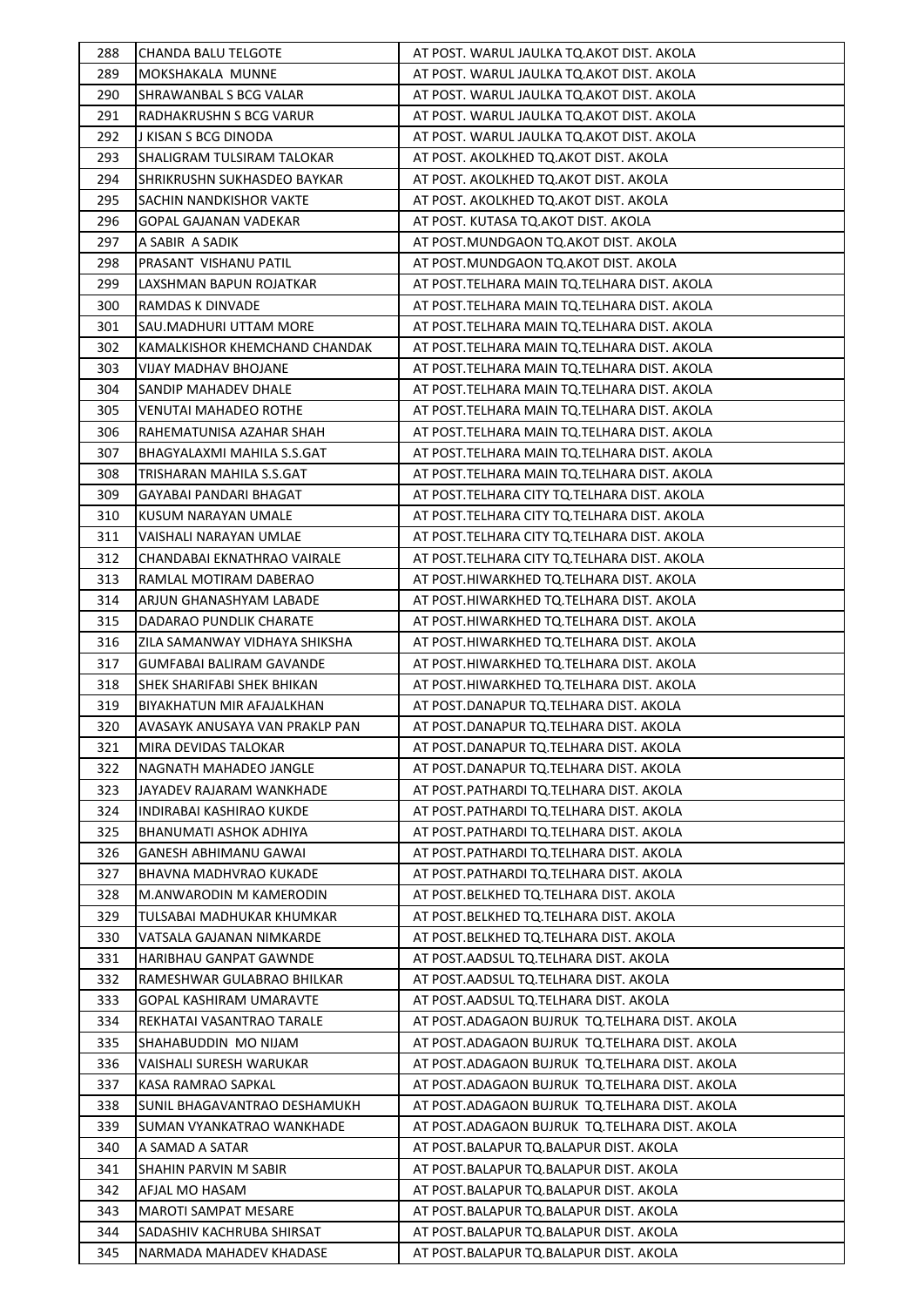| 288 | CHANDA BALU TELGOTE            | AT POST. WARUL JAULKA TQ.AKOT DIST. AKOLA       |
|-----|--------------------------------|-------------------------------------------------|
| 289 | MOKSHAKALA MUNNE               | AT POST. WARUL JAULKA TQ.AKOT DIST. AKOLA       |
| 290 | SHRAWANBAL S BCG VALAR         | AT POST. WARUL JAULKA TQ.AKOT DIST. AKOLA       |
| 291 | RADHAKRUSHN S BCG VARUR        | AT POST. WARUL JAULKA TQ.AKOT DIST. AKOLA       |
| 292 | J KISAN S BCG DINODA           | AT POST. WARUL JAULKA TQ.AKOT DIST. AKOLA       |
| 293 | SHALIGRAM TULSIRAM TALOKAR     | AT POST. AKOLKHED TQ.AKOT DIST. AKOLA           |
| 294 | SHRIKRUSHN SUKHASDEO BAYKAR    | AT POST. AKOLKHED TQ.AKOT DIST. AKOLA           |
| 295 | SACHIN NANDKISHOR VAKTE        | AT POST. AKOLKHED TQ.AKOT DIST. AKOLA           |
| 296 | GOPAL GAJANAN VADEKAR          | AT POST. KUTASA TQ.AKOT DIST. AKOLA             |
| 297 | A SABIR A SADIK                | AT POST. MUNDGAON TQ. AKOT DIST. AKOLA          |
| 298 | PRASANT VISHANU PATIL          | AT POST.MUNDGAON TQ.AKOT DIST. AKOLA            |
| 299 | LAXSHMAN BAPUN ROJATKAR        | AT POST. TELHARA MAIN TQ. TELHARA DIST. AKOLA   |
| 300 | RAMDAS K DINVADE               | AT POST. TELHARA MAIN TO. TELHARA DIST. AKOLA   |
| 301 | SAU.MADHURI UTTAM MORE         | AT POST. TELHARA MAIN TO. TELHARA DIST. AKOLA   |
| 302 | KAMALKISHOR KHEMCHAND CHANDAK  | AT POST. TELHARA MAIN TO. TELHARA DIST. AKOLA   |
| 303 | VIJAY MADHAV BHOJANE           | AT POST. TELHARA MAIN TO. TELHARA DIST. AKOLA   |
| 304 | SANDIP MAHADEV DHALE           | AT POST. TELHARA MAIN TO. TELHARA DIST. AKOLA   |
| 305 | <b>VENUTAI MAHADEO ROTHE</b>   | AT POST. TELHARA MAIN TO. TELHARA DIST. AKOLA   |
| 306 | RAHEMATUNISA AZAHAR SHAH       | AT POST.TELHARA MAIN TQ.TELHARA DIST. AKOLA     |
| 307 | BHAGYALAXMI MAHILA S.S.GAT     | AT POST.TELHARA MAIN TQ.TELHARA DIST. AKOLA     |
| 308 | TRISHARAN MAHILA S.S.GAT       | AT POST. TELHARA MAIN TQ. TELHARA DIST. AKOLA   |
| 309 | GAYABAI PANDARI BHAGAT         | AT POST. TELHARA CITY TO. TELHARA DIST. AKOLA   |
| 310 | KUSUM NARAYAN UMALE            | AT POST.TELHARA CITY TQ.TELHARA DIST. AKOLA     |
| 311 | VAISHALI NARAYAN UMLAE         | AT POST.TELHARA CITY TQ.TELHARA DIST. AKOLA     |
| 312 | CHANDABAI EKNATHRAO VAIRALE    | AT POST. TELHARA CITY TO. TELHARA DIST. AKOLA   |
| 313 | RAMLAL MOTIRAM DABERAO         | AT POST.HIWARKHED TQ.TELHARA DIST. AKOLA        |
| 314 | ARJUN GHANASHYAM LABADE        | AT POST.HIWARKHED TQ.TELHARA DIST. AKOLA        |
| 315 | DADARAO PUNDLIK CHARATE        | AT POST.HIWARKHED TQ.TELHARA DIST. AKOLA        |
| 316 | ZILA SAMANWAY VIDHAYA SHIKSHA  | AT POST.HIWARKHED TQ.TELHARA DIST. AKOLA        |
| 317 | GUMFABAI BALIRAM GAVANDE       | AT POST.HIWARKHED TQ.TELHARA DIST. AKOLA        |
| 318 | SHEK SHARIFABI SHEK BHIKAN     | AT POST.HIWARKHED TQ.TELHARA DIST. AKOLA        |
| 319 | BIYAKHATUN MIR AFAJALKHAN      | AT POST.DANAPUR TQ.TELHARA DIST. AKOLA          |
| 320 | AVASAYK ANUSAYA VAN PRAKLP PAN | AT POST.DANAPUR TQ.TELHARA DIST. AKOLA          |
| 321 | MIRA DEVIDAS TALOKAR           | AT POST.DANAPUR TQ.TELHARA DIST. AKOLA          |
| 322 | NAGNATH MAHADEO JANGLE         | AT POST.DANAPUR TQ.TELHARA DIST. AKOLA          |
| 323 | JAYADEV RAJARAM WANKHADE       | AT POST. PATHARDI TQ. TELHARA DIST. AKOLA       |
| 324 | INDIRABAI KASHIRAO KUKDE       | AT POST. PATHARDI TQ. TELHARA DIST. AKOLA       |
| 325 | BHANUMATI ASHOK ADHIYA         | AT POST.PATHARDI TQ.TELHARA DIST. AKOLA         |
| 326 | GANESH ABHIMANU GAWAI          | AT POST. PATHARDI TQ. TELHARA DIST. AKOLA       |
| 327 | BHAVNA MADHVRAO KUKADE         | AT POST. PATHARDI TQ. TELHARA DIST. AKOLA       |
| 328 | M.ANWARODIN M KAMERODIN        | AT POST. BELKHED TQ. TELHARA DIST. AKOLA        |
| 329 | TULSABAI MADHUKAR KHUMKAR      | AT POST. BELKHED TQ. TELHARA DIST. AKOLA        |
| 330 | VATSALA GAJANAN NIMKARDE       | AT POST. BELKHED TQ. TELHARA DIST. AKOLA        |
| 331 | HARIBHAU GANPAT GAWNDE         | AT POST.AADSUL TQ.TELHARA DIST. AKOLA           |
| 332 | RAMESHWAR GULABRAO BHILKAR     | AT POST.AADSUL TQ.TELHARA DIST. AKOLA           |
| 333 | GOPAL KASHIRAM UMARAVTE        | AT POST.AADSUL TQ.TELHARA DIST. AKOLA           |
| 334 | REKHATAI VASANTRAO TARALE      | AT POST.ADAGAON BUJRUK TQ.TELHARA DIST. AKOLA   |
| 335 | SHAHABUDDIN MO NIJAM           | AT POST.ADAGAON BUJRUK TQ.TELHARA DIST. AKOLA   |
| 336 | VAISHALI SURESH WARUKAR        | AT POST.ADAGAON BUJRUK TQ.TELHARA DIST. AKOLA   |
| 337 | KASA RAMRAO SAPKAL             | AT POST.ADAGAON BUJRUK TQ.TELHARA DIST. AKOLA   |
| 338 | SUNIL BHAGAVANTRAO DESHAMUKH   | AT POST. ADAGAON BUJRUK TQ. TELHARA DIST. AKOLA |
| 339 | SUMAN VYANKATRAO WANKHADE      | AT POST. ADAGAON BUJRUK TQ. TELHARA DIST. AKOLA |
| 340 | A SAMAD A SATAR                | AT POST. BALAPUR TQ. BALAPUR DIST. AKOLA        |
| 341 | SHAHIN PARVIN M SABIR          | AT POST. BALAPUR TQ. BALAPUR DIST. AKOLA        |
| 342 | AFJAL MO HASAM                 | AT POST. BALAPUR TQ. BALAPUR DIST. AKOLA        |
| 343 | <b>MAROTI SAMPAT MESARE</b>    | AT POST. BALAPUR TQ. BALAPUR DIST. AKOLA        |
| 344 | SADASHIV KACHRUBA SHIRSAT      | AT POST. BALAPUR TQ. BALAPUR DIST. AKOLA        |
| 345 | NARMADA MAHADEV KHADASE        | AT POST. BALAPUR TQ. BALAPUR DIST. AKOLA        |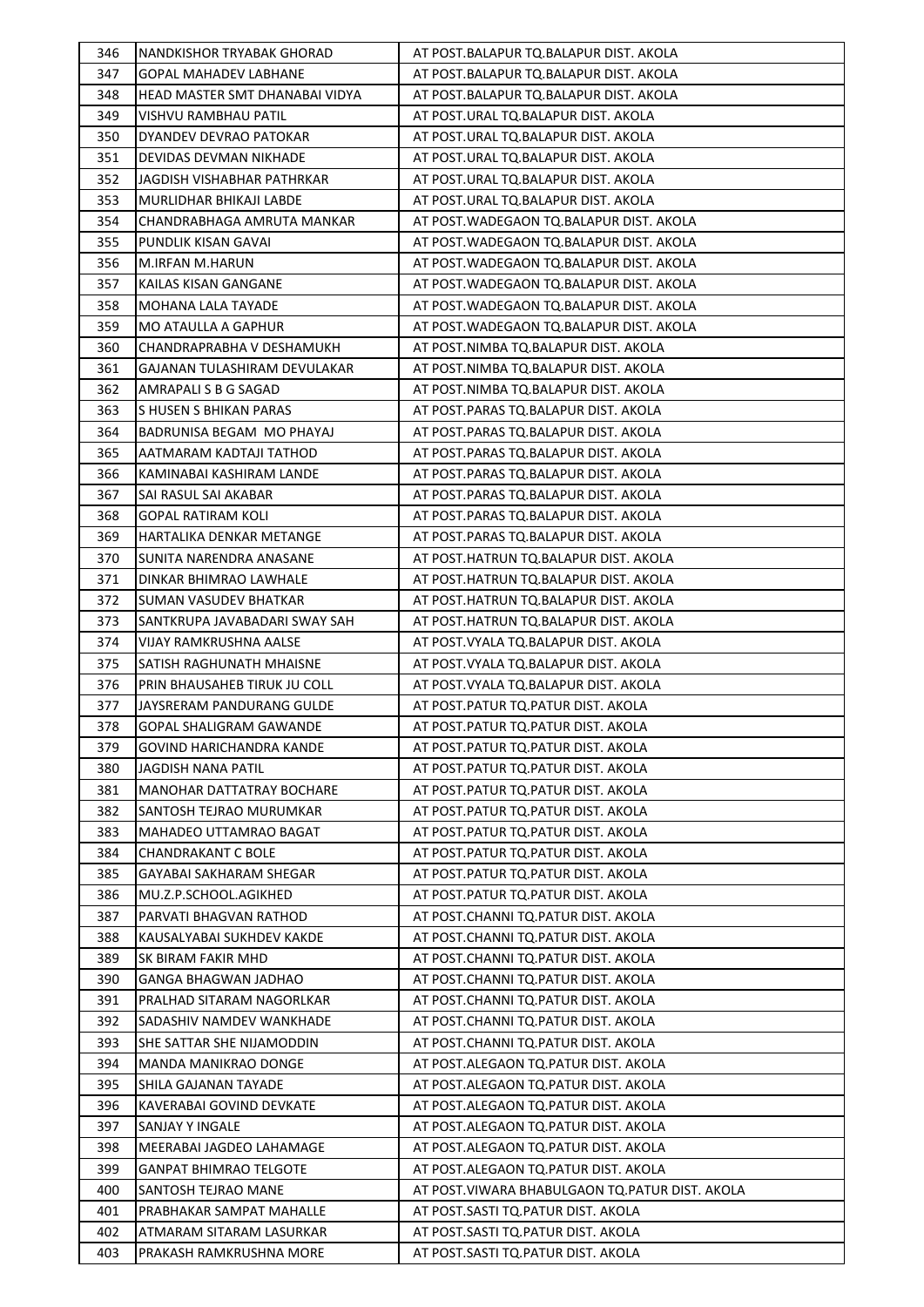| 346        | NANDKISHOR TRYABAK GHORAD                   | AT POST. BALAPUR TQ. BALAPUR DIST. AKOLA                                             |
|------------|---------------------------------------------|--------------------------------------------------------------------------------------|
| 347        | GOPAL MAHADEV LABHANE                       | AT POST.BALAPUR TQ.BALAPUR DIST. AKOLA                                               |
| 348        | HEAD MASTER SMT DHANABAI VIDYA              | AT POST.BALAPUR TQ.BALAPUR DIST. AKOLA                                               |
| 349        | VISHVU RAMBHAU PATIL                        | AT POST.URAL TQ.BALAPUR DIST. AKOLA                                                  |
| 350        | DYANDEV DEVRAO PATOKAR                      | AT POST.URAL TQ.BALAPUR DIST. AKOLA                                                  |
| 351        | DEVIDAS DEVMAN NIKHADE                      | AT POST.URAL TQ.BALAPUR DIST. AKOLA                                                  |
| 352        | JAGDISH VISHABHAR PATHRKAR                  | AT POST.URAL TQ.BALAPUR DIST. AKOLA                                                  |
| 353        | MURLIDHAR BHIKAJI LABDE                     | AT POST.URAL TQ.BALAPUR DIST. AKOLA                                                  |
| 354        | CHANDRABHAGA AMRUTA MANKAR                  | AT POST.WADEGAON TQ.BALAPUR DIST. AKOLA                                              |
| 355        | PUNDLIK KISAN GAVAI                         | AT POST. WADEGAON TO. BALAPUR DIST. AKOLA                                            |
| 356        | M.IRFAN M.HARUN                             | AT POST.WADEGAON TQ.BALAPUR DIST. AKOLA                                              |
| 357        | KAILAS KISAN GANGANE                        | AT POST. WADEGAON TO. BALAPUR DIST. AKOLA                                            |
| 358        | MOHANA LALA TAYADE                          | AT POST. WADEGAON TQ. BALAPUR DIST. AKOLA                                            |
| 359        | MO ATAULLA A GAPHUR                         | AT POST. WADEGAON TO. BALAPUR DIST. AKOLA                                            |
| 360        | CHANDRAPRABHA V DESHAMUKH                   | AT POST.NIMBA TQ.BALAPUR DIST. AKOLA                                                 |
| 361        | GAJANAN TULASHIRAM DEVULAKAR                | AT POST.NIMBA TQ.BALAPUR DIST. AKOLA                                                 |
| 362        | AMRAPALI S B G SAGAD                        | AT POST.NIMBA TQ.BALAPUR DIST. AKOLA                                                 |
| 363        | S HUSEN S BHIKAN PARAS                      | AT POST.PARAS TQ.BALAPUR DIST. AKOLA                                                 |
| 364        | BADRUNISA BEGAM MO PHAYAJ                   | AT POST.PARAS TQ.BALAPUR DIST. AKOLA                                                 |
| 365        | AATMARAM KADTAJI TATHOD                     | AT POST.PARAS TQ.BALAPUR DIST. AKOLA                                                 |
| 366        | KAMINABAI KASHIRAM LANDE                    | AT POST.PARAS TQ.BALAPUR DIST. AKOLA                                                 |
| 367        | SAI RASUL SAI AKABAR                        | AT POST.PARAS TQ.BALAPUR DIST. AKOLA                                                 |
| 368        | GOPAL RATIRAM KOLI                          | AT POST.PARAS TQ.BALAPUR DIST. AKOLA                                                 |
| 369        | HARTALIKA DENKAR METANGE                    | AT POST.PARAS TQ.BALAPUR DIST. AKOLA                                                 |
| 370        | SUNITA NARENDRA ANASANE                     | AT POST.HATRUN TQ.BALAPUR DIST. AKOLA                                                |
| 371        | DINKAR BHIMRAO LAWHALE                      | AT POST.HATRUN TQ.BALAPUR DIST. AKOLA                                                |
| 372        | <b>SUMAN VASUDEV BHATKAR</b>                | AT POST.HATRUN TQ.BALAPUR DIST. AKOLA                                                |
| 373        | SANTKRUPA JAVABADARI SWAY SAH               | AT POST.HATRUN TQ.BALAPUR DIST. AKOLA                                                |
| 374        | VIJAY RAMKRUSHNA AALSE                      | AT POST. VYALA TQ. BALAPUR DIST. AKOLA                                               |
| 375        | SATISH RAGHUNATH MHAISNE                    | AT POST.VYALA TQ.BALAPUR DIST. AKOLA                                                 |
| 376        | PRIN BHAUSAHEB TIRUK JU COLL                | AT POST.VYALA TQ.BALAPUR DIST. AKOLA                                                 |
| 377        | JAYSRERAM PANDURANG GULDE                   | AT POST.PATUR TQ.PATUR DIST. AKOLA                                                   |
| 378        | <b>GOPAL SHALIGRAM GAWANDE</b>              | AT POST. PATUR TO. PATUR DIST. AKOLA                                                 |
| 379        | GOVIND HARICHANDRA KANDE                    | AT POST. PATUR TQ. PATUR DIST. AKOLA                                                 |
| 380        | JAGDISH NANA PATIL                          | AT POST.PATUR TO.PATUR DIST. AKOLA                                                   |
| 381        | MANOHAR DATTATRAY BOCHARE                   | AT POST. PATUR TQ. PATUR DIST. AKOLA                                                 |
| 382        | SANTOSH TEJRAO MURUMKAR                     | AT POST. PATUR TQ. PATUR DIST. AKOLA                                                 |
| 383        | MAHADEO UTTAMRAO BAGAT                      | AT POST. PATUR TQ. PATUR DIST. AKOLA                                                 |
| 384        | CHANDRAKANT C BOLE                          | AT POST. PATUR TQ. PATUR DIST. AKOLA                                                 |
| 385        | GAYABAI SAKHARAM SHEGAR                     | AT POST. PATUR TQ. PATUR DIST. AKOLA                                                 |
| 386        | MU.Z.P.SCHOOL.AGIKHED                       | AT POST. PATUR TQ. PATUR DIST. AKOLA                                                 |
| 387        | PARVATI BHAGVAN RATHOD                      | AT POST.CHANNI TQ.PATUR DIST. AKOLA                                                  |
| 388        | KAUSALYABAI SUKHDEV KAKDE                   | AT POST.CHANNI TQ.PATUR DIST. AKOLA                                                  |
| 389        | SK BIRAM FAKIR MHD                          | AT POST.CHANNI TQ.PATUR DIST. AKOLA                                                  |
| 390        | <b>GANGA BHAGWAN JADHAO</b>                 | AT POST.CHANNI TQ.PATUR DIST. AKOLA                                                  |
| 391        | PRALHAD SITARAM NAGORLKAR                   | AT POST.CHANNI TQ.PATUR DIST. AKOLA                                                  |
| 392        | SADASHIV NAMDEV WANKHADE                    | AT POST.CHANNI TQ.PATUR DIST. AKOLA                                                  |
| 393        | SHE SATTAR SHE NIJAMODDIN                   | AT POST.CHANNI TQ.PATUR DIST. AKOLA                                                  |
| 394        | MANDA MANIKRAO DONGE                        | AT POST.ALEGAON TO.PATUR DIST. AKOLA                                                 |
| 395        | SHILA GAJANAN TAYADE                        | AT POST.ALEGAON TQ.PATUR DIST. AKOLA                                                 |
|            |                                             |                                                                                      |
| 396<br>397 | KAVERABAI GOVIND DEVKATE<br>SANJAY Y INGALE | AT POST.ALEGAON TQ.PATUR DIST. AKOLA<br>AT POST.ALEGAON TO.PATUR DIST. AKOLA         |
| 398        | MEERABAI JAGDEO LAHAMAGE                    | AT POST.ALEGAON TQ.PATUR DIST. AKOLA                                                 |
| 399        | <b>GANPAT BHIMRAO TELGOTE</b>               |                                                                                      |
| 400        | SANTOSH TEJRAO MANE                         | AT POST.ALEGAON TQ.PATUR DIST. AKOLA                                                 |
| 401        | PRABHAKAR SAMPAT MAHALLE                    | AT POST.VIWARA BHABULGAON TQ.PATUR DIST. AKOLA<br>AT POST.SASTI TQ.PATUR DIST. AKOLA |
| 402        | ATMARAM SITARAM LASURKAR                    | AT POST.SASTI TQ.PATUR DIST. AKOLA                                                   |
| 403        | PRAKASH RAMKRUSHNA MORE                     | AT POST.SASTI TQ.PATUR DIST. AKOLA                                                   |
|            |                                             |                                                                                      |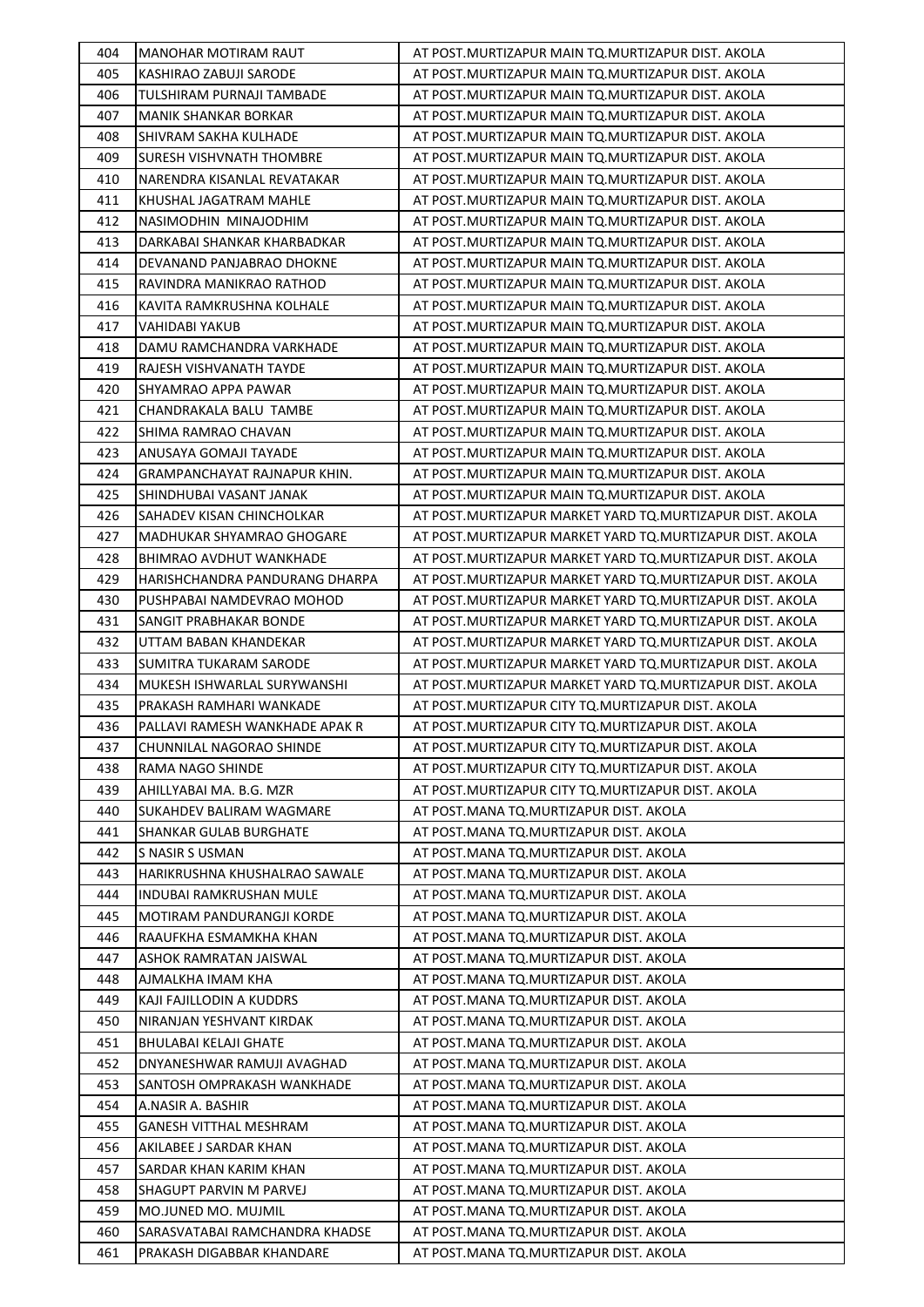| 404 | <b>MANOHAR MOTIRAM RAUT</b>    | AT POST.MURTIZAPUR MAIN TQ.MURTIZAPUR DIST. AKOLA          |
|-----|--------------------------------|------------------------------------------------------------|
| 405 | KASHIRAO ZABUJI SARODE         | AT POST.MURTIZAPUR MAIN TQ.MURTIZAPUR DIST. AKOLA          |
| 406 | TULSHIRAM PURNAJI TAMBADE      | AT POST. MURTIZAPUR MAIN TO. MURTIZAPUR DIST. AKOLA        |
| 407 | <b>MANIK SHANKAR BORKAR</b>    | AT POST. MURTIZAPUR MAIN TO. MURTIZAPUR DIST. AKOLA        |
| 408 | SHIVRAM SAKHA KULHADE          | AT POST. MURTIZAPUR MAIN TO. MURTIZAPUR DIST. AKOLA        |
| 409 | SURESH VISHVNATH THOMBRE       | AT POST.MURTIZAPUR MAIN TO.MURTIZAPUR DIST. AKOLA          |
| 410 | NARENDRA KISANLAL REVATAKAR    | AT POST. MURTIZAPUR MAIN TO. MURTIZAPUR DIST. AKOLA        |
| 411 | KHUSHAL JAGATRAM MAHLE         | AT POST.MURTIZAPUR MAIN TQ.MURTIZAPUR DIST. AKOLA          |
| 412 | NASIMODHIN MINAJODHIM          | AT POST. MURTIZAPUR MAIN TO. MURTIZAPUR DIST. AKOLA        |
| 413 | DARKABAI SHANKAR KHARBADKAR    | AT POST. MURTIZAPUR MAIN TO. MURTIZAPUR DIST. AKOLA        |
| 414 | DEVANAND PANJABRAO DHOKNE      | AT POST. MURTIZAPUR MAIN TO. MURTIZAPUR DIST. AKOLA        |
| 415 | RAVINDRA MANIKRAO RATHOD       | AT POST.MURTIZAPUR MAIN TQ.MURTIZAPUR DIST. AKOLA          |
| 416 | KAVITA RAMKRUSHNA KOLHALE      | AT POST. MURTIZAPUR MAIN TO. MURTIZAPUR DIST. AKOLA        |
| 417 | VAHIDABI YAKUB                 | AT POST. MURTIZAPUR MAIN TO. MURTIZAPUR DIST. AKOLA        |
| 418 | DAMU RAMCHANDRA VARKHADE       | AT POST. MURTIZAPUR MAIN TO. MURTIZAPUR DIST. AKOLA        |
| 419 | RAJESH VISHVANATH TAYDE        | AT POST. MURTIZAPUR MAIN TO. MURTIZAPUR DIST. AKOLA        |
| 420 | SHYAMRAO APPA PAWAR            | AT POST.MURTIZAPUR MAIN TQ.MURTIZAPUR DIST. AKOLA          |
| 421 | CHANDRAKALA BALU TAMBE         | AT POST. MURTIZAPUR MAIN TO. MURTIZAPUR DIST. AKOLA        |
| 422 | SHIMA RAMRAO CHAVAN            | AT POST. MURTIZAPUR MAIN TO. MURTIZAPUR DIST. AKOLA        |
| 423 | ANUSAYA GOMAJI TAYADE          | AT POST.MURTIZAPUR MAIN TQ.MURTIZAPUR DIST. AKOLA          |
| 424 | GRAMPANCHAYAT RAJNAPUR KHIN.   | AT POST.MURTIZAPUR MAIN TQ.MURTIZAPUR DIST. AKOLA          |
| 425 | SHINDHUBAI VASANT JANAK        | AT POST. MURTIZAPUR MAIN TO. MURTIZAPUR DIST. AKOLA        |
| 426 | SAHADEV KISAN CHINCHOLKAR      | AT POST. MURTIZAPUR MARKET YARD TO. MURTIZAPUR DIST. AKOLA |
| 427 | MADHUKAR SHYAMRAO GHOGARE      | AT POST.MURTIZAPUR MARKET YARD TQ.MURTIZAPUR DIST. AKOLA   |
| 428 | <b>BHIMRAO AVDHUT WANKHADE</b> | AT POST. MURTIZAPUR MARKET YARD TO. MURTIZAPUR DIST. AKOLA |
| 429 | HARISHCHANDRA PANDURANG DHARPA | AT POST. MURTIZAPUR MARKET YARD TO. MURTIZAPUR DIST. AKOLA |
| 430 | PUSHPABAI NAMDEVRAO MOHOD      | AT POST. MURTIZAPUR MARKET YARD TO. MURTIZAPUR DIST. AKOLA |
| 431 | SANGIT PRABHAKAR BONDE         | AT POST. MURTIZAPUR MARKET YARD TO. MURTIZAPUR DIST. AKOLA |
| 432 | UTTAM BABAN KHANDEKAR          | AT POST. MURTIZAPUR MARKET YARD TO. MURTIZAPUR DIST. AKOLA |
| 433 | SUMITRA TUKARAM SARODE         | AT POST. MURTIZAPUR MARKET YARD TO. MURTIZAPUR DIST. AKOLA |
| 434 | MUKESH ISHWARLAL SURYWANSHI    | AT POST. MURTIZAPUR MARKET YARD TO. MURTIZAPUR DIST. AKOLA |
| 435 | PRAKASH RAMHARI WANKADE        | AT POST. MURTIZAPUR CITY TO. MURTIZAPUR DIST. AKOLA        |
| 436 | PALLAVI RAMESH WANKHADE APAK R | AT POST. MURTIZAPUR CITY TO. MURTIZAPUR DIST. AKOLA        |
| 437 | CHUNNILAL NAGORAO SHINDE       | AT POST. MURTIZAPUR CITY TQ. MURTIZAPUR DIST. AKOLA        |
| 438 | RAMA NAGO SHINDE               | AT POST. MURTIZAPUR CITY TO. MURTIZAPUR DIST. AKOLA        |
| 439 | AHILLYABAI MA. B.G. MZR        | AT POST. MURTIZAPUR CITY TO. MURTIZAPUR DIST. AKOLA        |
| 440 | SUKAHDEV BALIRAM WAGMARE       | AT POST. MANA TQ. MURTIZAPUR DIST. AKOLA                   |
| 441 | SHANKAR GULAB BURGHATE         | AT POST. MANA TQ. MURTIZAPUR DIST. AKOLA                   |
| 442 | S NASIR S USMAN                | AT POST. MANA TQ. MURTIZAPUR DIST. AKOLA                   |
| 443 | HARIKRUSHNA KHUSHALRAO SAWALE  | AT POST. MANA TQ. MURTIZAPUR DIST. AKOLA                   |
| 444 | INDUBAI RAMKRUSHAN MULE        | AT POST. MANA TQ. MURTIZAPUR DIST. AKOLA                   |
| 445 | MOTIRAM PANDURANGJI KORDE      | AT POST.MANA TQ.MURTIZAPUR DIST. AKOLA                     |
| 446 | RAAUFKHA ESMAMKHA KHAN         | AT POST. MANA TQ. MURTIZAPUR DIST. AKOLA                   |
| 447 | ASHOK RAMRATAN JAISWAL         | AT POST.MANA TQ.MURTIZAPUR DIST. AKOLA                     |
| 448 | AJMALKHA IMAM KHA              | AT POST.MANA TQ.MURTIZAPUR DIST. AKOLA                     |
| 449 | KAJI FAJILLODIN A KUDDRS       | AT POST.MANA TQ.MURTIZAPUR DIST. AKOLA                     |
| 450 | NIRANJAN YESHVANT KIRDAK       | AT POST. MANA TQ. MURTIZAPUR DIST. AKOLA                   |
| 451 | BHULABAI KELAJI GHATE          | AT POST. MANA TQ. MURTIZAPUR DIST. AKOLA                   |
| 452 | DNYANESHWAR RAMUJI AVAGHAD     | AT POST. MANA TQ. MURTIZAPUR DIST. AKOLA                   |
| 453 | SANTOSH OMPRAKASH WANKHADE     | AT POST.MANA TQ.MURTIZAPUR DIST. AKOLA                     |
| 454 | A.NASIR A. BASHIR              | AT POST.MANA TQ.MURTIZAPUR DIST. AKOLA                     |
| 455 | GANESH VITTHAL MESHRAM         | AT POST. MANA TQ. MURTIZAPUR DIST. AKOLA                   |
| 456 | AKILABEE J SARDAR KHAN         | AT POST. MANA TQ. MURTIZAPUR DIST. AKOLA                   |
| 457 | SARDAR KHAN KARIM KHAN         | AT POST. MANA TQ. MURTIZAPUR DIST. AKOLA                   |
| 458 | SHAGUPT PARVIN M PARVEJ        | AT POST. MANA TQ. MURTIZAPUR DIST. AKOLA                   |
| 459 | MO.JUNED MO. MUJMIL            | AT POST. MANA TQ. MURTIZAPUR DIST. AKOLA                   |
| 460 | SARASVATABAI RAMCHANDRA KHADSE | AT POST. MANA TQ. MURTIZAPUR DIST. AKOLA                   |
| 461 | PRAKASH DIGABBAR KHANDARE      | AT POST. MANA TQ. MURTIZAPUR DIST. AKOLA                   |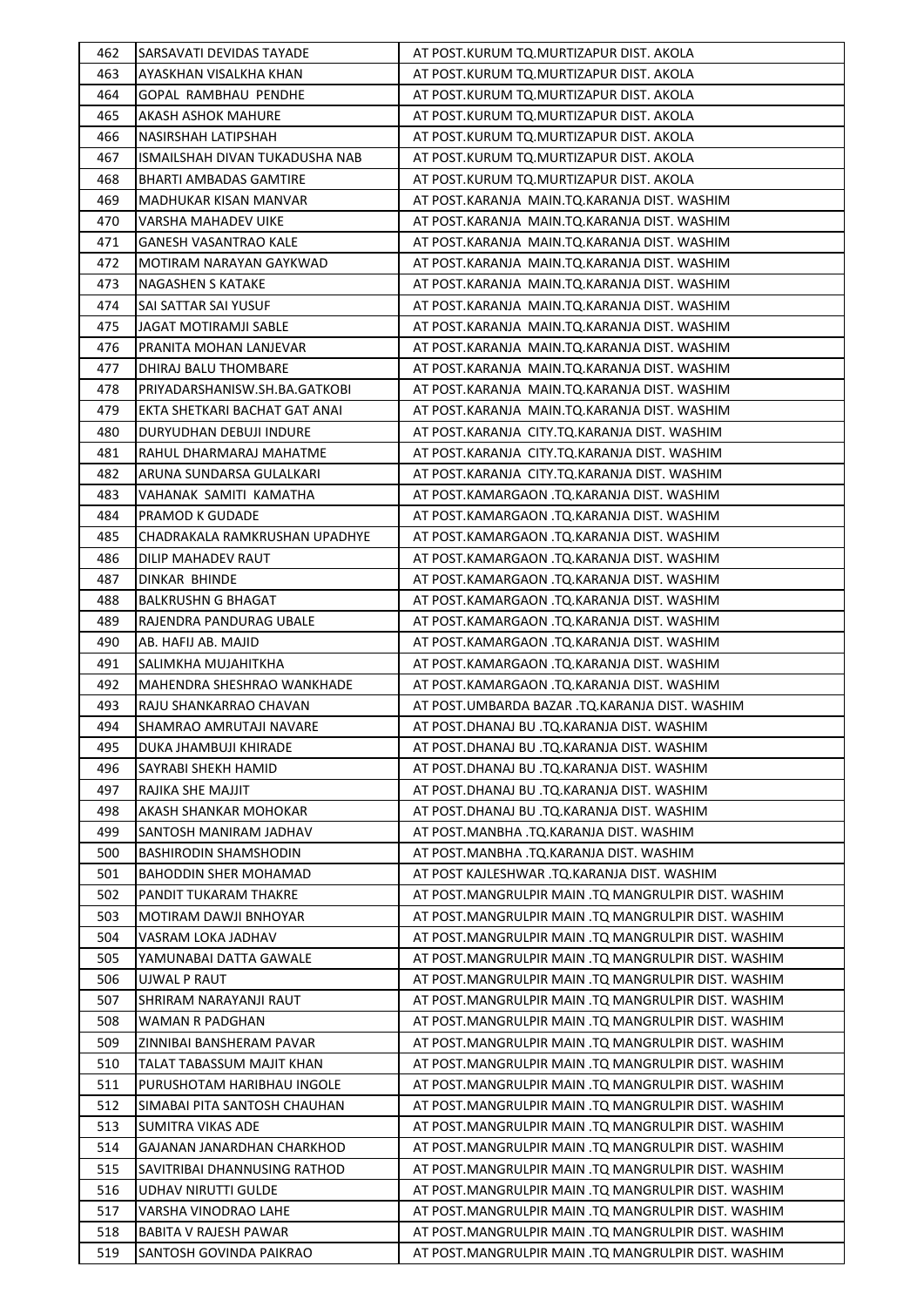| 462        | SARSAVATI DEVIDAS TAYADE                         | AT POST.KURUM TQ.MURTIZAPUR DIST. AKOLA                                                                      |
|------------|--------------------------------------------------|--------------------------------------------------------------------------------------------------------------|
| 463        | AYASKHAN VISALKHA KHAN                           | AT POST.KURUM TQ.MURTIZAPUR DIST. AKOLA                                                                      |
| 464        | GOPAL RAMBHAU PENDHE                             | AT POST.KURUM TQ.MURTIZAPUR DIST. AKOLA                                                                      |
| 465        | AKASH ASHOK MAHURE                               | AT POST.KURUM TQ.MURTIZAPUR DIST. AKOLA                                                                      |
| 466        | NASIRSHAH LATIPSHAH                              | AT POST.KURUM TQ.MURTIZAPUR DIST. AKOLA                                                                      |
| 467        | ISMAILSHAH DIVAN TUKADUSHA NAB                   | AT POST.KURUM TQ.MURTIZAPUR DIST. AKOLA                                                                      |
| 468        | BHARTI AMBADAS GAMTIRE                           | AT POST.KURUM TQ.MURTIZAPUR DIST. AKOLA                                                                      |
| 469        | MADHUKAR KISAN MANVAR                            | AT POST.KARANJA MAIN.TQ.KARANJA DIST. WASHIM                                                                 |
| 470        | VARSHA MAHADEV UIKE                              | AT POST.KARANJA MAIN.TQ.KARANJA DIST. WASHIM                                                                 |
| 471        | <b>GANESH VASANTRAO KALE</b>                     | AT POST.KARANJA MAIN.TQ.KARANJA DIST. WASHIM                                                                 |
| 472        | MOTIRAM NARAYAN GAYKWAD                          | AT POST.KARANJA MAIN.TQ.KARANJA DIST. WASHIM                                                                 |
| 473        | NAGASHEN S KATAKE                                | AT POST.KARANJA MAIN.TQ.KARANJA DIST. WASHIM                                                                 |
| 474        | SAI SATTAR SAI YUSUF                             | AT POST.KARANJA MAIN.TQ.KARANJA DIST. WASHIM                                                                 |
| 475        | JAGAT MOTIRAMJI SABLE                            | AT POST.KARANJA MAIN.TQ.KARANJA DIST. WASHIM                                                                 |
| 476        | PRANITA MOHAN LANJEVAR                           | AT POST.KARANJA MAIN.TQ.KARANJA DIST. WASHIM                                                                 |
| 477        | DHIRAJ BALU THOMBARE                             | AT POST.KARANJA MAIN.TQ.KARANJA DIST. WASHIM                                                                 |
| 478        | PRIYADARSHANISW.SH.BA.GATKOBI                    | AT POST.KARANJA MAIN.TQ.KARANJA DIST. WASHIM                                                                 |
| 479        | EKTA SHETKARI BACHAT GAT ANAI                    | AT POST.KARANJA MAIN.TQ.KARANJA DIST. WASHIM                                                                 |
| 480        | DURYUDHAN DEBUJI INDURE                          | AT POST.KARANJA CITY.TQ.KARANJA DIST. WASHIM                                                                 |
| 481        | RAHUL DHARMARAJ MAHATME                          | AT POST.KARANJA CITY.TQ.KARANJA DIST. WASHIM                                                                 |
| 482        | ARUNA SUNDARSA GULALKARI                         | AT POST.KARANJA CITY.TQ.KARANJA DIST. WASHIM                                                                 |
| 483        | VAHANAK SAMITI KAMATHA                           | AT POST.KAMARGAON .TQ.KARANJA DIST. WASHIM                                                                   |
| 484        | PRAMOD K GUDADE                                  | AT POST.KAMARGAON .TQ.KARANJA DIST. WASHIM                                                                   |
| 485        | CHADRAKALA RAMKRUSHAN UPADHYE                    | AT POST.KAMARGAON .TQ.KARANJA DIST. WASHIM                                                                   |
| 486        | DILIP MAHADEV RAUT                               | AT POST.KAMARGAON .TQ.KARANJA DIST. WASHIM                                                                   |
| 487        | DINKAR BHINDE                                    | AT POST.KAMARGAON .TQ.KARANJA DIST. WASHIM                                                                   |
| 488        | BALKRUSHN G BHAGAT                               | AT POST.KAMARGAON .TQ.KARANJA DIST. WASHIM                                                                   |
| 489        | RAJENDRA PANDURAG UBALE                          | AT POST.KAMARGAON .TQ.KARANJA DIST. WASHIM                                                                   |
| 490        | AB. HAFIJ AB. MAJID                              | AT POST.KAMARGAON .TQ.KARANJA DIST. WASHIM                                                                   |
|            |                                                  |                                                                                                              |
| 491        | SALIMKHA MUJAHITKHA                              | AT POST.KAMARGAON .TQ.KARANJA DIST. WASHIM                                                                   |
| 492        | MAHENDRA SHESHRAO WANKHADE                       | AT POST.KAMARGAON .TQ.KARANJA DIST. WASHIM                                                                   |
| 493        | RAJU SHANKARRAO CHAVAN                           | AT POST.UMBARDA BAZAR .TQ.KARANJA DIST. WASHIM                                                               |
| 494        | SHAMRAO AMRUTAJI NAVARE                          | AT POST.DHANAJ BU .TQ.KARANJA DIST. WASHIM                                                                   |
| 495        | DUKA JHAMBUJI KHIRADE                            | AT POST. DHANAJ BU .TQ. KARANJA DIST. WASHIM                                                                 |
| 496        | SAYRABI SHEKH HAMID                              | AT POST.DHANAJ BU .TQ.KARANJA DIST. WASHIM                                                                   |
| 497        | RAJIKA SHE MAJJIT                                | AT POST.DHANAJ BU .TQ.KARANJA DIST. WASHIM                                                                   |
| 498        | AKASH SHANKAR MOHOKAR                            | AT POST.DHANAJ BU .TQ.KARANJA DIST. WASHIM                                                                   |
| 499        | SANTOSH MANIRAM JADHAV                           | AT POST.MANBHA .TQ.KARANJA DIST. WASHIM                                                                      |
| 500        | <b>BASHIRODIN SHAMSHODIN</b>                     | AT POST.MANBHA .TQ.KARANJA DIST. WASHIM                                                                      |
| 501        | BAHODDIN SHER MOHAMAD                            | AT POST KAJLESHWAR .TQ.KARANJA DIST. WASHIM                                                                  |
| 502        | PANDIT TUKARAM THAKRE                            | AT POST.MANGRULPIR MAIN .TQ MANGRULPIR DIST. WASHIM                                                          |
| 503        | MOTIRAM DAWJI BNHOYAR                            | AT POST. MANGRULPIR MAIN .TQ MANGRULPIR DIST. WASHIM                                                         |
| 504        | VASRAM LOKA JADHAV                               | AT POST. MANGRULPIR MAIN .TQ MANGRULPIR DIST. WASHIM                                                         |
| 505        | YAMUNABAI DATTA GAWALE                           | AT POST. MANGRULPIR MAIN .TQ MANGRULPIR DIST. WASHIM                                                         |
| 506        | UJWAL P RAUT                                     | AT POST.MANGRULPIR MAIN .TQ MANGRULPIR DIST. WASHIM                                                          |
| 507        | SHRIRAM NARAYANJI RAUT                           | AT POST. MANGRULPIR MAIN .TQ MANGRULPIR DIST. WASHIM                                                         |
| 508        | WAMAN R PADGHAN                                  | AT POST. MANGRULPIR MAIN .TQ MANGRULPIR DIST. WASHIM                                                         |
| 509        | ZINNIBAI BANSHERAM PAVAR                         | AT POST. MANGRULPIR MAIN .TQ MANGRULPIR DIST. WASHIM                                                         |
| 510        | TALAT TABASSUM MAJIT KHAN                        | AT POST. MANGRULPIR MAIN .TQ MANGRULPIR DIST. WASHIM                                                         |
| 511        | PURUSHOTAM HARIBHAU INGOLE                       | AT POST.MANGRULPIR MAIN .TQ MANGRULPIR DIST. WASHIM                                                          |
| 512        | SIMABAI PITA SANTOSH CHAUHAN                     | AT POST.MANGRULPIR MAIN .TQ MANGRULPIR DIST. WASHIM                                                          |
| 513        | SUMITRA VIKAS ADE                                | AT POST. MANGRULPIR MAIN .TQ MANGRULPIR DIST. WASHIM                                                         |
| 514        | GAJANAN JANARDHAN CHARKHOD                       | AT POST.MANGRULPIR MAIN .TQ MANGRULPIR DIST. WASHIM                                                          |
| 515        | SAVITRIBAI DHANNUSING RATHOD                     | AT POST. MANGRULPIR MAIN .TQ MANGRULPIR DIST. WASHIM                                                         |
| 516        | UDHAV NIRUTTI GULDE                              | AT POST. MANGRULPIR MAIN .TQ MANGRULPIR DIST. WASHIM                                                         |
| 517        | VARSHA VINODRAO LAHE                             | AT POST. MANGRULPIR MAIN .TQ MANGRULPIR DIST. WASHIM                                                         |
| 518<br>519 | BABITA V RAJESH PAWAR<br>SANTOSH GOVINDA PAIKRAO | AT POST. MANGRULPIR MAIN .TQ MANGRULPIR DIST. WASHIM<br>AT POST. MANGRULPIR MAIN .TQ MANGRULPIR DIST. WASHIM |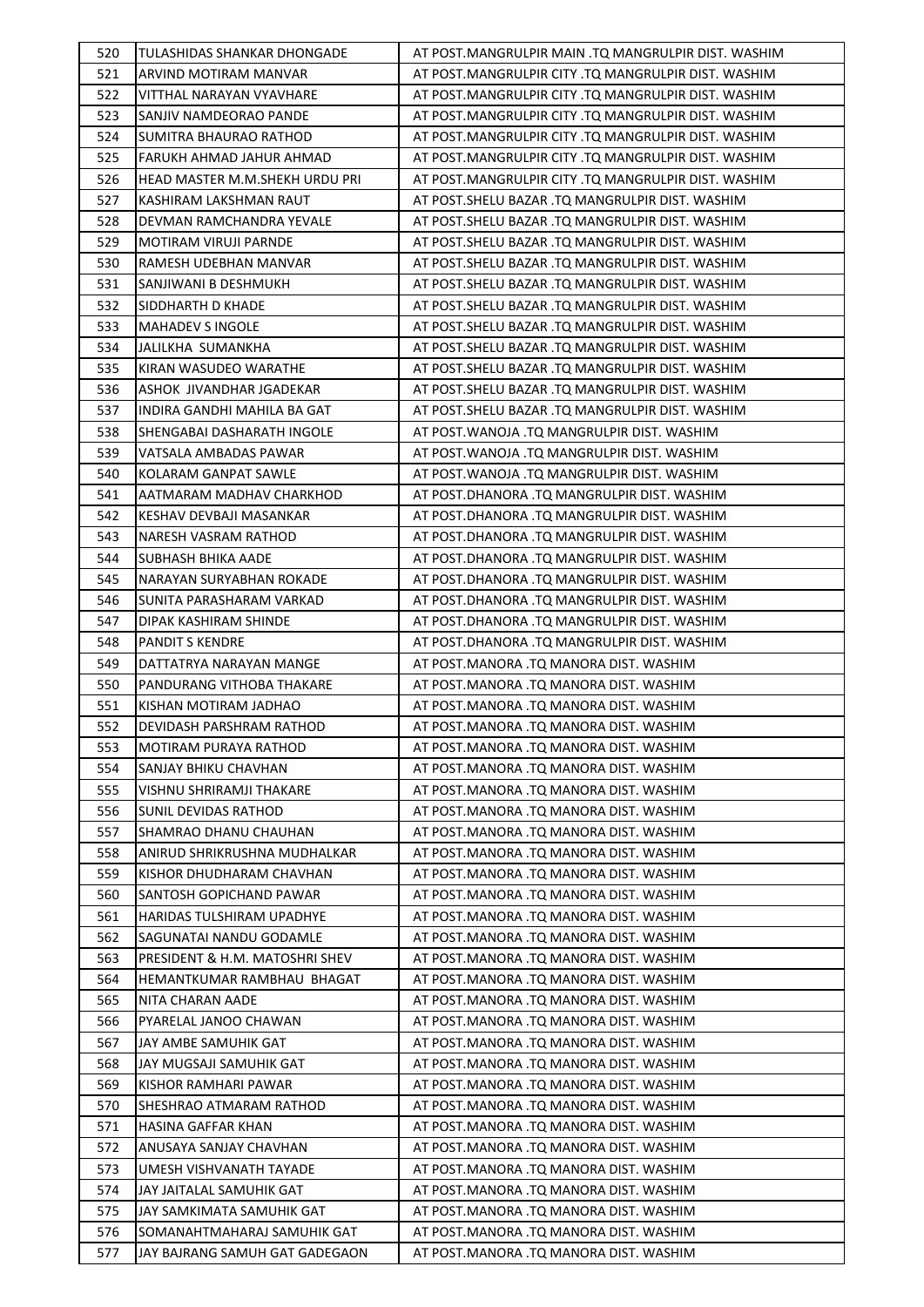| 520 | TULASHIDAS SHANKAR DHONGADE    | AT POST. MANGRULPIR MAIN .TQ MANGRULPIR DIST. WASHIM  |
|-----|--------------------------------|-------------------------------------------------------|
| 521 | ARVIND MOTIRAM MANVAR          | AT POST.MANGRULPIR CITY .TO MANGRULPIR DIST. WASHIM   |
| 522 | VITTHAL NARAYAN VYAVHARE       | AT POST. MANGRULPIR CITY .TQ MANGRULPIR DIST. WASHIM  |
| 523 | SANJIV NAMDEORAO PANDE         | AT POST. MANGRULPIR CITY . TQ MANGRULPIR DIST. WASHIM |
| 524 | SUMITRA BHAURAO RATHOD         | AT POST. MANGRULPIR CITY . TQ MANGRULPIR DIST. WASHIM |
| 525 | FARUKH AHMAD JAHUR AHMAD       | AT POST. MANGRULPIR CITY .TQ MANGRULPIR DIST. WASHIM  |
| 526 | HEAD MASTER M.M.SHEKH URDU PRI | AT POST.MANGRULPIR CITY .TQ MANGRULPIR DIST. WASHIM   |
| 527 | KASHIRAM LAKSHMAN RAUT         | AT POST. SHELU BAZAR . TQ MANGRULPIR DIST. WASHIM     |
| 528 | DEVMAN RAMCHANDRA YEVALE       | AT POST.SHELU BAZAR .TQ MANGRULPIR DIST. WASHIM       |
| 529 | MOTIRAM VIRUJI PARNDE          | AT POST. SHELU BAZAR . TQ MANGRULPIR DIST. WASHIM     |
| 530 | RAMESH UDEBHAN MANVAR          | AT POST. SHELU BAZAR . TQ MANGRULPIR DIST. WASHIM     |
| 531 | SANJIWANI B DESHMUKH           | AT POST. SHELU BAZAR . TQ MANGRULPIR DIST. WASHIM     |
| 532 | SIDDHARTH D KHADE              | AT POST. SHELU BAZAR .TQ MANGRULPIR DIST. WASHIM      |
| 533 | <b>MAHADEV S INGOLE</b>        | AT POST. SHELU BAZAR .TQ MANGRULPIR DIST. WASHIM      |
| 534 | JALILKHA SUMANKHA              | AT POST. SHELU BAZAR .TQ MANGRULPIR DIST. WASHIM      |
| 535 | KIRAN WASUDEO WARATHE          | AT POST.SHELU BAZAR .TQ MANGRULPIR DIST. WASHIM       |
| 536 | ASHOK JIVANDHAR JGADEKAR       | AT POST.SHELU BAZAR .TQ MANGRULPIR DIST. WASHIM       |
| 537 | INDIRA GANDHI MAHILA BA GAT    | AT POST. SHELU BAZAR .TQ MANGRULPIR DIST. WASHIM      |
| 538 | SHENGABAI DASHARATH INGOLE     | AT POST. WANOJA .TQ MANGRULPIR DIST. WASHIM           |
| 539 | VATSALA AMBADAS PAWAR          | AT POST.WANOJA .TQ MANGRULPIR DIST. WASHIM            |
| 540 | KOLARAM GANPAT SAWLE           | AT POST.WANOJA .TQ MANGRULPIR DIST. WASHIM            |
| 541 | AATMARAM MADHAV CHARKHOD       | AT POST.DHANORA .TQ MANGRULPIR DIST. WASHIM           |
| 542 | KESHAV DEVBAJI MASANKAR        | AT POST.DHANORA .TQ MANGRULPIR DIST. WASHIM           |
| 543 | NARESH VASRAM RATHOD           | AT POST.DHANORA .TQ MANGRULPIR DIST. WASHIM           |
| 544 | SUBHASH BHIKA AADE             | AT POST.DHANORA .TQ MANGRULPIR DIST. WASHIM           |
| 545 | NARAYAN SURYABHAN ROKADE       | AT POST.DHANORA .TQ MANGRULPIR DIST. WASHIM           |
| 546 | SUNITA PARASHARAM VARKAD       | AT POST.DHANORA .TQ MANGRULPIR DIST. WASHIM           |
| 547 | DIPAK KASHIRAM SHINDE          | AT POST.DHANORA .TQ MANGRULPIR DIST. WASHIM           |
| 548 | <b>PANDIT S KENDRE</b>         | AT POST.DHANORA .TQ MANGRULPIR DIST. WASHIM           |
| 549 | DATTATRYA NARAYAN MANGE        | AT POST.MANORA .TQ MANORA DIST. WASHIM                |
| 550 | PANDURANG VITHOBA THAKARE      | AT POST.MANORA .TQ MANORA DIST. WASHIM                |
| 551 | KISHAN MOTIRAM JADHAO          | AT POST. MANORA .TQ MANORA DIST. WASHIM               |
| 552 | DEVIDASH PARSHRAM RATHOD       | AT POST.MANORA .TQ MANORA DIST. WASHIM                |
| 553 | MOTIRAM PURAYA RATHOD          | AT POST.MANORA .TQ MANORA DIST. WASHIM                |
| 554 | SANJAY BHIKU CHAVHAN           | AT POST.MANORA .TO MANORA DIST. WASHIM                |
| 555 | VISHNU SHRIRAMJI THAKARE       | AT POST.MANORA .TQ MANORA DIST. WASHIM                |
| 556 | SUNIL DEVIDAS RATHOD           | AT POST.MANORA .TQ MANORA DIST. WASHIM                |
| 557 | SHAMRAO DHANU CHAUHAN          | AT POST.MANORA .TQ MANORA DIST. WASHIM                |
| 558 | ANIRUD SHRIKRUSHNA MUDHALKAR   | AT POST. MANORA .TQ MANORA DIST. WASHIM               |
| 559 | KISHOR DHUDHARAM CHAVHAN       | AT POST.MANORA .TQ MANORA DIST. WASHIM                |
| 560 | SANTOSH GOPICHAND PAWAR        | AT POST.MANORA .TQ MANORA DIST. WASHIM                |
| 561 | HARIDAS TULSHIRAM UPADHYE      | AT POST.MANORA .TQ MANORA DIST. WASHIM                |
| 562 | SAGUNATAI NANDU GODAMLE        | AT POST. MANORA .TQ MANORA DIST. WASHIM               |
| 563 | PRESIDENT & H.M. MATOSHRI SHEV | AT POST.MANORA .TQ MANORA DIST. WASHIM                |
| 564 | HEMANTKUMAR RAMBHAU BHAGAT     | AT POST.MANORA .TQ MANORA DIST. WASHIM                |
| 565 | NITA CHARAN AADE               | AT POST.MANORA .TQ MANORA DIST. WASHIM                |
| 566 | PYARELAL JANOO CHAWAN          | AT POST.MANORA .TQ MANORA DIST. WASHIM                |
| 567 | JAY AMBE SAMUHIK GAT           | AT POST.MANORA .TQ MANORA DIST. WASHIM                |
| 568 | JAY MUGSAJI SAMUHIK GAT        | AT POST.MANORA .TQ MANORA DIST. WASHIM                |
| 569 | KISHOR RAMHARI PAWAR           | AT POST.MANORA .TQ MANORA DIST. WASHIM                |
| 570 | SHESHRAO ATMARAM RATHOD        | AT POST.MANORA .TQ MANORA DIST. WASHIM                |
| 571 | HASINA GAFFAR KHAN             | AT POST.MANORA .TQ MANORA DIST. WASHIM                |
| 572 | ANUSAYA SANJAY CHAVHAN         | AT POST.MANORA .TQ MANORA DIST. WASHIM                |
| 573 | UMESH VISHVANATH TAYADE        | AT POST.MANORA .TQ MANORA DIST. WASHIM                |
| 574 | JAY JAITALAL SAMUHIK GAT       | AT POST.MANORA .TQ MANORA DIST. WASHIM                |
| 575 | JAY SAMKIMATA SAMUHIK GAT      | AT POST.MANORA .TQ MANORA DIST. WASHIM                |
| 576 | SOMANAHTMAHARAJ SAMUHIK GAT    | AT POST. MANORA .TQ MANORA DIST. WASHIM               |
| 577 | JAY BAJRANG SAMUH GAT GADEGAON | AT POST.MANORA .TQ MANORA DIST. WASHIM                |
|     |                                |                                                       |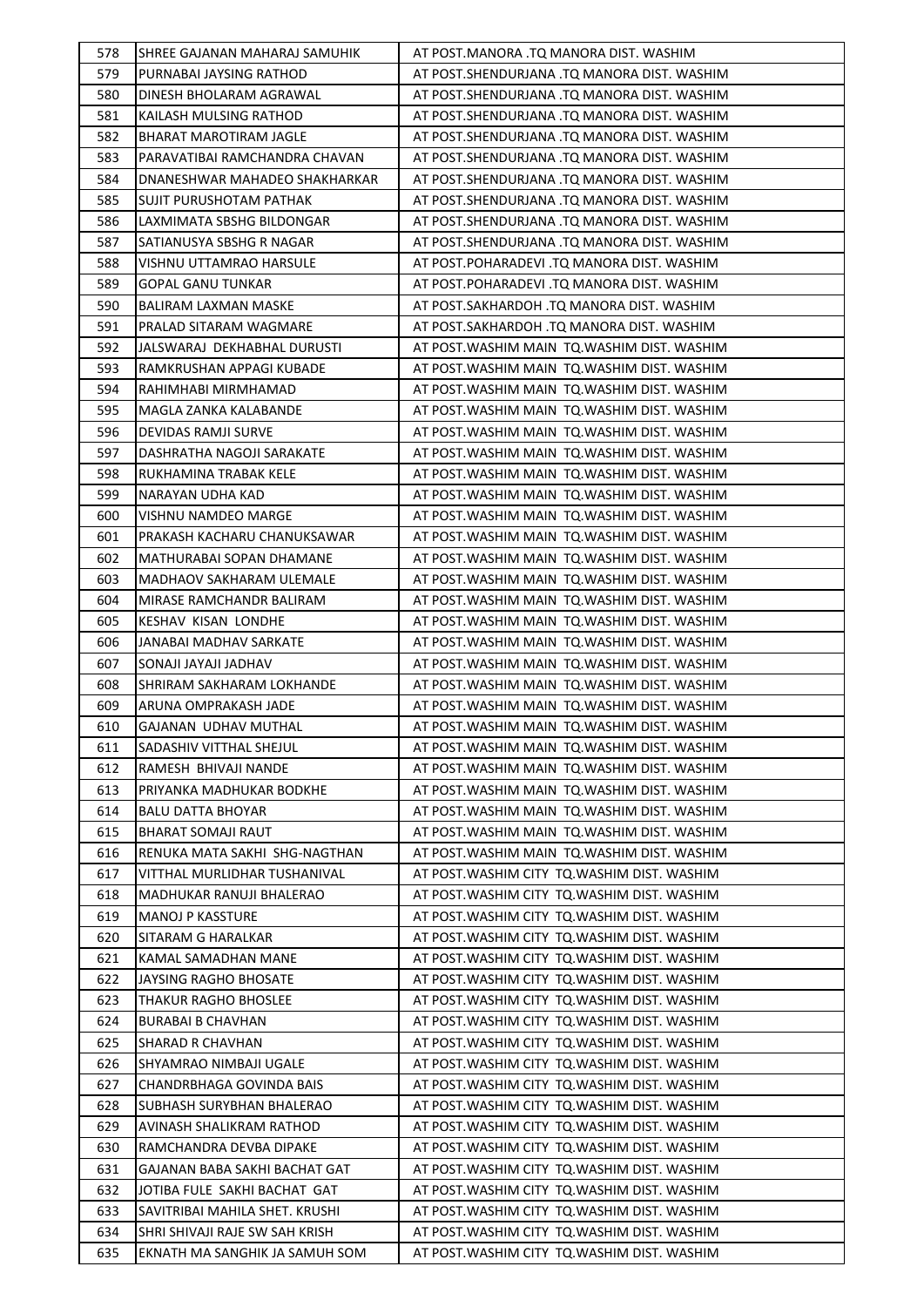| 578 | SHREE GAJANAN MAHARAJ SAMUHIK                        | AT POST.MANORA .TQ MANORA DIST. WASHIM                                                     |
|-----|------------------------------------------------------|--------------------------------------------------------------------------------------------|
| 579 | PURNABAI JAYSING RATHOD                              | AT POST. SHENDURJANA .TQ MANORA DIST. WASHIM                                               |
| 580 | DINESH BHOLARAM AGRAWAL                              | AT POST. SHENDURJANA .TQ MANORA DIST. WASHIM                                               |
| 581 | KAILASH MULSING RATHOD                               | AT POST. SHENDURJANA .TQ MANORA DIST. WASHIM                                               |
| 582 | <b>BHARAT MAROTIRAM JAGLE</b>                        | AT POST. SHENDURJANA .TQ MANORA DIST. WASHIM                                               |
| 583 | PARAVATIBAI RAMCHANDRA CHAVAN                        | AT POST. SHENDURJANA .TQ MANORA DIST. WASHIM                                               |
| 584 | DNANESHWAR MAHADEO SHAKHARKAR                        | AT POST. SHENDURJANA .TQ MANORA DIST. WASHIM                                               |
| 585 | SUJIT PURUSHOTAM PATHAK                              | AT POST.SHENDURJANA .TQ MANORA DIST. WASHIM                                                |
| 586 | LAXMIMATA SBSHG BILDONGAR                            | AT POST.SHENDURJANA .TQ MANORA DIST. WASHIM                                                |
| 587 | SATIANUSYA SBSHG R NAGAR                             | AT POST. SHENDURJANA .TQ MANORA DIST. WASHIM                                               |
| 588 | VISHNU UTTAMRAO HARSULE                              | AT POST. POHARADEVI .TQ MANORA DIST. WASHIM                                                |
| 589 | <b>GOPAL GANU TUNKAR</b>                             | AT POST.POHARADEVI .TQ MANORA DIST. WASHIM                                                 |
| 590 | BALIRAM LAXMAN MASKE                                 | AT POST.SAKHARDOH .TQ MANORA DIST. WASHIM                                                  |
| 591 | PRALAD SITARAM WAGMARE                               | AT POST.SAKHARDOH .TQ MANORA DIST. WASHIM                                                  |
| 592 | JALSWARAJ DEKHABHAL DURUSTI                          | AT POST. WASHIM MAIN TQ. WASHIM DIST. WASHIM                                               |
| 593 | RAMKRUSHAN APPAGI KUBADE                             | AT POST.WASHIM MAIN TQ.WASHIM DIST. WASHIM                                                 |
| 594 | RAHIMHABI MIRMHAMAD                                  | AT POST.WASHIM MAIN TQ.WASHIM DIST. WASHIM                                                 |
| 595 | MAGLA ZANKA KALABANDE                                | AT POST. WASHIM MAIN TO. WASHIM DIST. WASHIM                                               |
| 596 | DEVIDAS RAMJI SURVE                                  | AT POST. WASHIM MAIN TQ. WASHIM DIST. WASHIM                                               |
| 597 | DASHRATHA NAGOJI SARAKATE                            | AT POST. WASHIM MAIN TQ. WASHIM DIST. WASHIM                                               |
| 598 | RUKHAMINA TRABAK KELE                                | AT POST. WASHIM MAIN TQ. WASHIM DIST. WASHIM                                               |
| 599 | NARAYAN UDHA KAD                                     | AT POST. WASHIM MAIN TO. WASHIM DIST. WASHIM                                               |
| 600 | VISHNU NAMDEO MARGE                                  | AT POST. WASHIM MAIN TO. WASHIM DIST. WASHIM                                               |
| 601 | PRAKASH KACHARU CHANUKSAWAR                          | AT POST. WASHIM MAIN TO. WASHIM DIST. WASHIM                                               |
| 602 |                                                      |                                                                                            |
| 603 | MATHURABAI SOPAN DHAMANE<br>MADHAOV SAKHARAM ULEMALE | AT POST.WASHIM MAIN TQ.WASHIM DIST. WASHIM<br>AT POST. WASHIM MAIN TO. WASHIM DIST. WASHIM |
| 604 | MIRASE RAMCHANDR BALIRAM                             | AT POST. WASHIM MAIN TQ. WASHIM DIST. WASHIM                                               |
|     |                                                      |                                                                                            |
| 605 | KESHAV KISAN LONDHE                                  | AT POST. WASHIM MAIN TO. WASHIM DIST. WASHIM                                               |
| 606 | JANABAI MADHAV SARKATE                               | AT POST. WASHIM MAIN TO. WASHIM DIST. WASHIM                                               |
| 607 | SONAJI JAYAJI JADHAV                                 | AT POST. WASHIM MAIN TO. WASHIM DIST. WASHIM                                               |
| 608 | SHRIRAM SAKHARAM LOKHANDE                            | AT POST. WASHIM MAIN TO. WASHIM DIST. WASHIM                                               |
| 609 | ARUNA OMPRAKASH JADE                                 | AT POST. WASHIM MAIN TQ. WASHIM DIST. WASHIM                                               |
| 610 | GAJANAN UDHAV MUTHAL                                 | AT POST. WASHIM MAIN TQ. WASHIM DIST. WASHIM                                               |
| 611 | SADASHIV VITTHAL SHEJUL                              | AT POST. WASHIM MAIN TO. WASHIM DIST. WASHIM                                               |
| 612 | RAMESH BHIVAJI NANDE                                 | AT POST. WASHIM MAIN TO. WASHIM DIST. WASHIM                                               |
| 613 | PRIYANKA MADHUKAR BODKHE                             | AT POST.WASHIM MAIN TQ.WASHIM DIST. WASHIM                                                 |
| 614 | <b>BALU DATTA BHOYAR</b>                             | AT POST.WASHIM MAIN TQ.WASHIM DIST. WASHIM                                                 |
| 615 | BHARAT SOMAJI RAUT                                   | AT POST.WASHIM MAIN TQ.WASHIM DIST. WASHIM                                                 |
| 616 | RENUKA MATA SAKHI SHG-NAGTHAN                        | AT POST. WASHIM MAIN TO. WASHIM DIST. WASHIM                                               |
| 617 | VITTHAL MURLIDHAR TUSHANIVAL                         | AT POST. WASHIM CITY TO. WASHIM DIST. WASHIM                                               |
| 618 | MADHUKAR RANUJI BHALERAO                             | AT POST. WASHIM CITY TO. WASHIM DIST. WASHIM                                               |
| 619 | <b>MANOJ P KASSTURE</b>                              | AT POST. WASHIM CITY TQ. WASHIM DIST. WASHIM                                               |
| 620 | SITARAM G HARALKAR                                   | AT POST. WASHIM CITY TO. WASHIM DIST. WASHIM                                               |
| 621 | KAMAL SAMADHAN MANE                                  | AT POST. WASHIM CITY TQ. WASHIM DIST. WASHIM                                               |
| 622 | JAYSING RAGHO BHOSATE                                | AT POST. WASHIM CITY TO. WASHIM DIST. WASHIM                                               |
| 623 | THAKUR RAGHO BHOSLEE                                 | AT POST. WASHIM CITY TO. WASHIM DIST. WASHIM                                               |
| 624 | <b>BURABAI B CHAVHAN</b>                             | AT POST. WASHIM CITY TO. WASHIM DIST. WASHIM                                               |
| 625 | SHARAD R CHAVHAN                                     | AT POST. WASHIM CITY TO. WASHIM DIST. WASHIM                                               |
| 626 | SHYAMRAO NIMBAJI UGALE                               | AT POST. WASHIM CITY TO. WASHIM DIST. WASHIM                                               |
| 627 | CHANDRBHAGA GOVINDA BAIS                             | AT POST. WASHIM CITY TO. WASHIM DIST. WASHIM                                               |
| 628 | SUBHASH SURYBHAN BHALERAO                            | AT POST. WASHIM CITY TO. WASHIM DIST. WASHIM                                               |
| 629 | AVINASH SHALIKRAM RATHOD                             | AT POST. WASHIM CITY TO. WASHIM DIST. WASHIM                                               |
| 630 | RAMCHANDRA DEVBA DIPAKE                              | AT POST. WASHIM CITY TO. WASHIM DIST. WASHIM                                               |
| 631 | GAJANAN BABA SAKHI BACHAT GAT                        | AT POST. WASHIM CITY TO. WASHIM DIST. WASHIM                                               |
| 632 | JOTIBA FULE SAKHI BACHAT GAT                         | AT POST. WASHIM CITY TO. WASHIM DIST. WASHIM                                               |
| 633 | SAVITRIBAI MAHILA SHET. KRUSHI                       | AT POST. WASHIM CITY TO. WASHIM DIST. WASHIM                                               |
| 634 | SHRI SHIVAJI RAJE SW SAH KRISH                       | AT POST. WASHIM CITY TQ. WASHIM DIST. WASHIM                                               |
| 635 | EKNATH MA SANGHIK JA SAMUH SOM                       | AT POST. WASHIM CITY TO. WASHIM DIST. WASHIM                                               |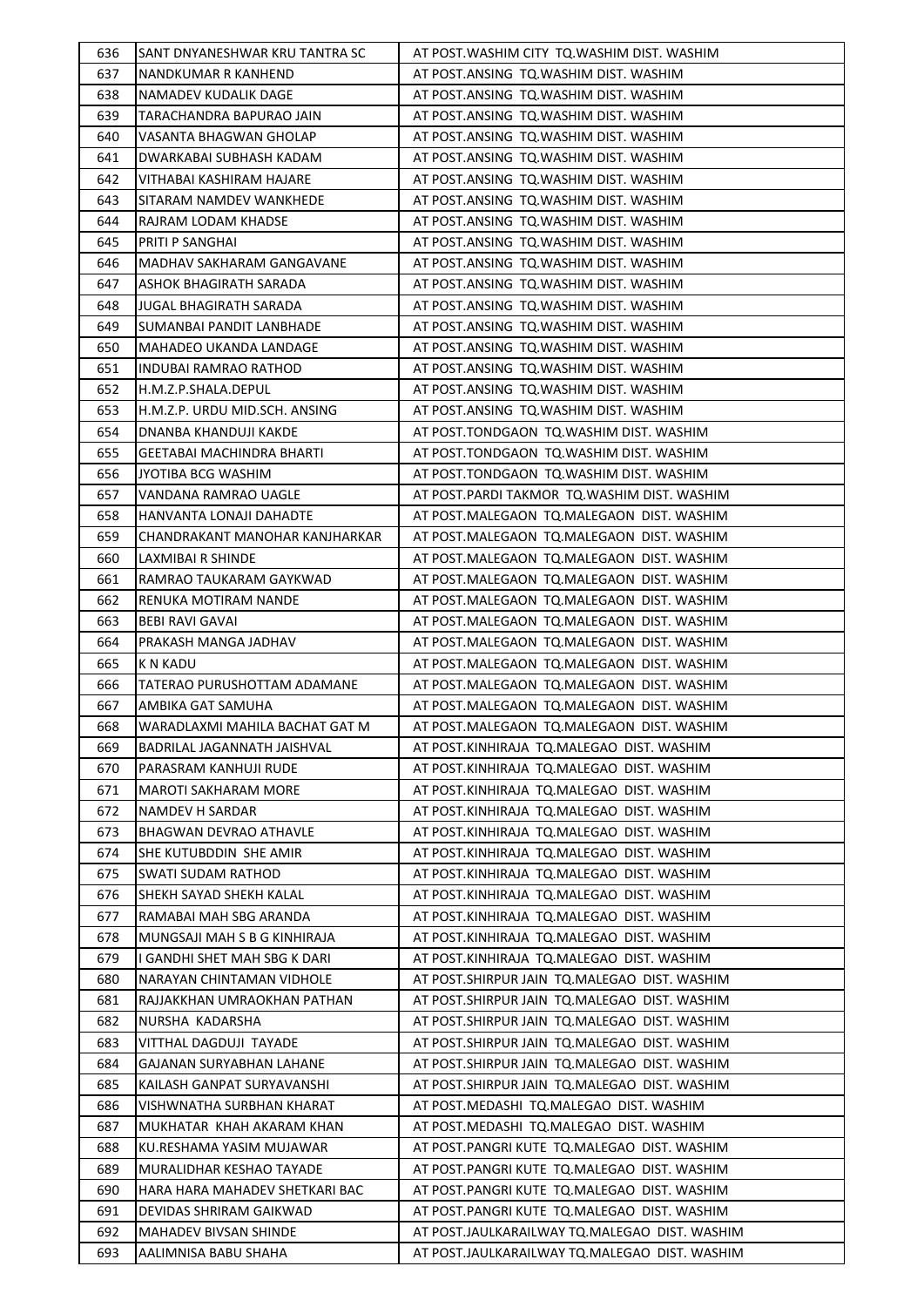| 636 | SANT DNYANESHWAR KRU TANTRA SC | AT POST. WASHIM CITY TO. WASHIM DIST. WASHIM   |
|-----|--------------------------------|------------------------------------------------|
| 637 | NANDKUMAR R KANHEND            | AT POST.ANSING TQ.WASHIM DIST. WASHIM          |
| 638 | NAMADEV KUDALIK DAGE           | AT POST.ANSING TQ.WASHIM DIST. WASHIM          |
| 639 | TARACHANDRA BAPURAO JAIN       | AT POST. ANSING TO. WASHIM DIST. WASHIM        |
| 640 | VASANTA BHAGWAN GHOLAP         | AT POST.ANSING TQ.WASHIM DIST. WASHIM          |
| 641 | DWARKABAI SUBHASH KADAM        | AT POST. ANSING TO. WASHIM DIST. WASHIM        |
| 642 | VITHABAI KASHIRAM HAJARE       | AT POST. ANSING TO. WASHIM DIST. WASHIM        |
| 643 | SITARAM NAMDEV WANKHEDE        | AT POST.ANSING TQ.WASHIM DIST. WASHIM          |
| 644 | RAJRAM LODAM KHADSE            | AT POST. ANSING TO. WASHIM DIST. WASHIM        |
| 645 | PRITI P SANGHAI                | AT POST. ANSING TQ. WASHIM DIST. WASHIM        |
| 646 | MADHAV SAKHARAM GANGAVANE      | AT POST.ANSING TQ.WASHIM DIST. WASHIM          |
| 647 | ASHOK BHAGIRATH SARADA         | AT POST.ANSING TQ.WASHIM DIST. WASHIM          |
| 648 | JUGAL BHAGIRATH SARADA         | AT POST.ANSING TQ.WASHIM DIST. WASHIM          |
| 649 | SUMANBAI PANDIT LANBHADE       | AT POST. ANSING TQ. WASHIM DIST. WASHIM        |
| 650 | MAHADEO UKANDA LANDAGE         | AT POST. ANSING TQ. WASHIM DIST. WASHIM        |
| 651 | INDUBAI RAMRAO RATHOD          | AT POST.ANSING TQ.WASHIM DIST. WASHIM          |
| 652 | H.M.Z.P.SHALA.DEPUL            | AT POST.ANSING TQ.WASHIM DIST. WASHIM          |
| 653 | H.M.Z.P. URDU MID.SCH. ANSING  | AT POST.ANSING TQ.WASHIM DIST. WASHIM          |
| 654 | DNANBA KHANDUJI KAKDE          | AT POST.TONDGAON TQ.WASHIM DIST. WASHIM        |
| 655 | GEETABAI MACHINDRA BHARTI      | AT POST.TONDGAON TQ.WASHIM DIST. WASHIM        |
| 656 | JYOTIBA BCG WASHIM             | AT POST.TONDGAON TQ.WASHIM DIST. WASHIM        |
| 657 | VANDANA RAMRAO UAGLE           | AT POST. PARDI TAKMOR TQ. WASHIM DIST. WASHIM  |
| 658 | HANVANTA LONAJI DAHADTE        | AT POST.MALEGAON TQ.MALEGAON DIST. WASHIM      |
| 659 | CHANDRAKANT MANOHAR KANJHARKAR | AT POST.MALEGAON TQ.MALEGAON DIST. WASHIM      |
| 660 | LAXMIBAI R SHINDE              | AT POST.MALEGAON TQ.MALEGAON DIST. WASHIM      |
| 661 | RAMRAO TAUKARAM GAYKWAD        | AT POST.MALEGAON TQ.MALEGAON DIST. WASHIM      |
| 662 | RENUKA MOTIRAM NANDE           | AT POST.MALEGAON TQ.MALEGAON DIST. WASHIM      |
| 663 | <b>BEBI RAVI GAVAI</b>         | AT POST.MALEGAON TQ.MALEGAON DIST. WASHIM      |
| 664 | PRAKASH MANGA JADHAV           | AT POST.MALEGAON TQ.MALEGAON DIST. WASHIM      |
|     |                                |                                                |
| 665 | <b>K N KADU</b>                | AT POST.MALEGAON TQ.MALEGAON DIST. WASHIM      |
| 666 | TATERAO PURUSHOTTAM ADAMANE    | AT POST.MALEGAON TQ.MALEGAON DIST. WASHIM      |
| 667 | AMBIKA GAT SAMUHA              | AT POST.MALEGAON TQ.MALEGAON DIST. WASHIM      |
| 668 | WARADLAXMI MAHILA BACHAT GAT M | AT POST.MALEGAON  TQ.MALEGAON  DIST. WASHIM    |
| 669 | BADRILAL JAGANNATH JAISHVAL    | AT POST.KINHIRAJA TQ.MALEGAO DIST. WASHIM      |
| 670 | PARASRAM KANHUJI RUDE          | AT POST.KINHIRAJA TQ.MALEGAO DIST. WASHIM      |
| 671 | MAROTI SAKHARAM MORE           | AT POST.KINHIRAJA TQ.MALEGAO DIST. WASHIM      |
| 672 | NAMDEV H SARDAR                | AT POST.KINHIRAJA TQ.MALEGAO DIST. WASHIM      |
| 673 | BHAGWAN DEVRAO ATHAVLE         | AT POST.KINHIRAJA TQ.MALEGAO DIST. WASHIM      |
| 674 | SHE KUTUBDDIN SHE AMIR         | AT POST.KINHIRAJA TQ.MALEGAO DIST. WASHIM      |
| 675 | SWATI SUDAM RATHOD             | AT POST.KINHIRAJA TQ.MALEGAO DIST. WASHIM      |
| 676 | SHEKH SAYAD SHEKH KALAL        | AT POST.KINHIRAJA TQ.MALEGAO DIST. WASHIM      |
| 677 | RAMABAI MAH SBG ARANDA         | AT POST.KINHIRAJA TQ.MALEGAO DIST. WASHIM      |
| 678 | MUNGSAJI MAH S B G KINHIRAJA   | AT POST.KINHIRAJA TQ.MALEGAO DIST. WASHIM      |
| 679 | I GANDHI SHET MAH SBG K DARI   | AT POST.KINHIRAJA TQ.MALEGAO DIST. WASHIM      |
| 680 | NARAYAN CHINTAMAN VIDHOLE      | AT POST. SHIRPUR JAIN TO. MALEGAO DIST. WASHIM |
| 681 | RAJJAKKHAN UMRAOKHAN PATHAN    | AT POST. SHIRPUR JAIN TO. MALEGAO DIST. WASHIM |
| 682 | NURSHA KADARSHA                | AT POST. SHIRPUR JAIN TO. MALEGAO DIST. WASHIM |
| 683 | VITTHAL DAGDUJI TAYADE         | AT POST. SHIRPUR JAIN TO. MALEGAO DIST. WASHIM |
| 684 | GAJANAN SURYABHAN LAHANE       | AT POST. SHIRPUR JAIN TO. MALEGAO DIST. WASHIM |
| 685 | KAILASH GANPAT SURYAVANSHI     | AT POST. SHIRPUR JAIN TO. MALEGAO DIST. WASHIM |
| 686 | VISHWNATHA SURBHAN KHARAT      | AT POST. MEDASHI TQ. MALEGAO DIST. WASHIM      |
| 687 | MUKHATAR KHAH AKARAM KHAN      | AT POST. MEDASHI TQ. MALEGAO DIST. WASHIM      |
| 688 | KU.RESHAMA YASIM MUJAWAR       | AT POST.PANGRI KUTE TQ.MALEGAO DIST. WASHIM    |
| 689 | MURALIDHAR KESHAO TAYADE       | AT POST.PANGRI KUTE TQ.MALEGAO DIST. WASHIM    |
| 690 | HARA HARA MAHADEV SHETKARI BAC | AT POST.PANGRI KUTE TQ.MALEGAO DIST. WASHIM    |
| 691 | DEVIDAS SHRIRAM GAIKWAD        | AT POST.PANGRI KUTE TQ.MALEGAO DIST. WASHIM    |
| 692 | MAHADEV BIVSAN SHINDE          | AT POST.JAULKARAILWAY TQ.MALEGAO DIST. WASHIM  |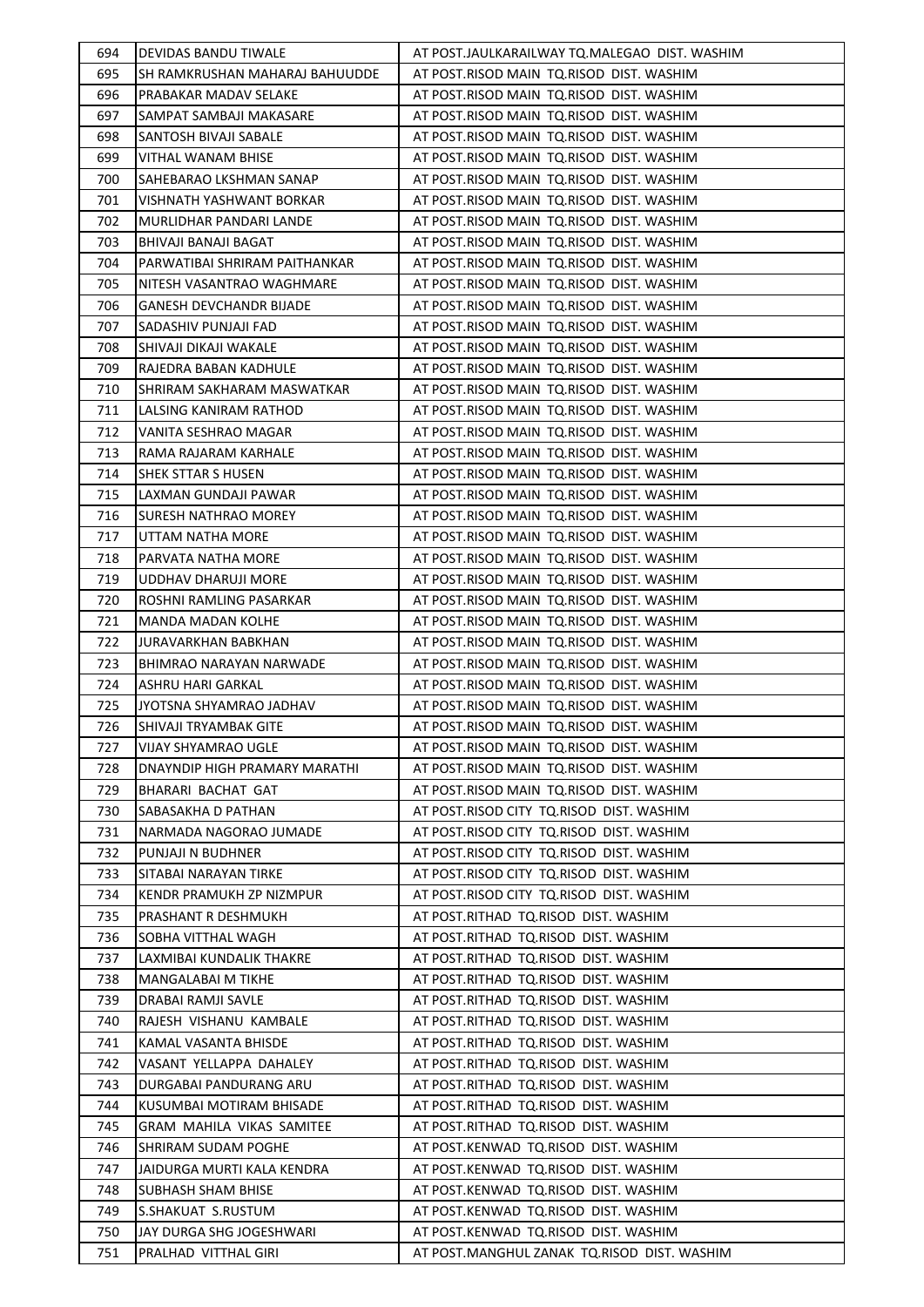| 694        | DEVIDAS BANDU TIWALE                            | AT POST.JAULKARAILWAY TQ.MALEGAO DIST. WASHIM                                |
|------------|-------------------------------------------------|------------------------------------------------------------------------------|
| 695        | SH RAMKRUSHAN MAHARAJ BAHUUDDE                  | AT POST.RISOD MAIN TO.RISOD DIST. WASHIM                                     |
| 696        | PRABAKAR MADAV SELAKE                           | AT POST.RISOD MAIN TQ.RISOD DIST. WASHIM                                     |
| 697        | SAMPAT SAMBAJI MAKASARE                         | AT POST.RISOD MAIN TQ.RISOD DIST. WASHIM                                     |
| 698        | SANTOSH BIVAJI SABALE                           | AT POST.RISOD MAIN TQ.RISOD DIST. WASHIM                                     |
| 699        | VITHAL WANAM BHISE                              | AT POST.RISOD MAIN TQ.RISOD DIST. WASHIM                                     |
| 700        | SAHEBARAO LKSHMAN SANAP                         | AT POST.RISOD MAIN TQ.RISOD DIST. WASHIM                                     |
| 701        | VISHNATH YASHWANT BORKAR                        | AT POST.RISOD MAIN TQ.RISOD DIST. WASHIM                                     |
| 702        | MURLIDHAR PANDARI LANDE                         | AT POST.RISOD MAIN TQ.RISOD DIST. WASHIM                                     |
| 703        | BHIVAJI BANAJI BAGAT                            | AT POST.RISOD MAIN TQ.RISOD DIST. WASHIM                                     |
| 704        | PARWATIBAI SHRIRAM PAITHANKAR                   | AT POST.RISOD MAIN TO.RISOD DIST. WASHIM                                     |
| 705        | NITESH VASANTRAO WAGHMARE                       | AT POST.RISOD MAIN TQ.RISOD DIST. WASHIM                                     |
| 706        | GANESH DEVCHANDR BIJADE                         | AT POST.RISOD MAIN TQ.RISOD DIST. WASHIM                                     |
| 707        | SADASHIV PUNJAJI FAD                            | AT POST.RISOD MAIN TQ.RISOD DIST. WASHIM                                     |
| 708        | SHIVAJI DIKAJI WAKALE                           | AT POST.RISOD MAIN TQ.RISOD DIST. WASHIM                                     |
| 709        | RAJEDRA BABAN KADHULE                           | AT POST.RISOD MAIN TO.RISOD DIST. WASHIM                                     |
| 710        | SHRIRAM SAKHARAM MASWATKAR                      | AT POST.RISOD MAIN TQ.RISOD DIST. WASHIM                                     |
| 711        | LALSING KANIRAM RATHOD                          | AT POST.RISOD MAIN TO.RISOD DIST. WASHIM                                     |
| 712        | VANITA SESHRAO MAGAR                            | AT POST.RISOD MAIN TQ.RISOD DIST. WASHIM                                     |
| 713        | RAMA RAJARAM KARHALE                            | AT POST.RISOD MAIN TO.RISOD DIST. WASHIM                                     |
| 714        | <b>SHEK STTAR S HUSEN</b>                       | AT POST.RISOD MAIN TQ.RISOD DIST. WASHIM                                     |
| 715        | LAXMAN GUNDAJI PAWAR                            | AT POST.RISOD MAIN TQ.RISOD DIST. WASHIM                                     |
| 716        | SURESH NATHRAO MOREY                            | AT POST.RISOD MAIN TQ.RISOD DIST. WASHIM                                     |
| 717        | UTTAM NATHA MORE                                | AT POST.RISOD MAIN TQ.RISOD DIST. WASHIM                                     |
| 718        | PARVATA NATHA MORE                              | AT POST.RISOD MAIN TQ.RISOD DIST. WASHIM                                     |
| 719        | UDDHAV DHARUJI MORE                             | AT POST.RISOD MAIN TQ.RISOD DIST. WASHIM                                     |
| 720        | ROSHNI RAMLING PASARKAR                         | AT POST.RISOD MAIN TQ.RISOD DIST. WASHIM                                     |
| 721        | MANDA MADAN KOLHE                               | AT POST.RISOD MAIN TQ.RISOD DIST. WASHIM                                     |
| 722        | JURAVARKHAN BABKHAN                             | AT POST.RISOD MAIN TQ.RISOD DIST. WASHIM                                     |
| 723        | BHIMRAO NARAYAN NARWADE                         | AT POST.RISOD MAIN TQ.RISOD DIST. WASHIM                                     |
| 724        | ASHRU HARI GARKAL                               | AT POST.RISOD MAIN TO.RISOD DIST. WASHIM                                     |
| 725        | JYOTSNA SHYAMRAO JADHAV                         | AT POST.RISOD MAIN TQ.RISOD DIST. WASHIM                                     |
| 726        | SHIVAJI TRYAMBAK GITE                           | AT POST.RISOD MAIN TQ.RISOD DIST. WASHIM                                     |
| 727        | VIJAY SHYAMRAO UGLE                             | AT POST.RISOD MAIN TQ.RISOD DIST. WASHIM                                     |
| 728        | DNAYNDIP HIGH PRAMARY MARATHI                   | AT POST.RISOD MAIN TQ.RISOD DIST. WASHIM                                     |
| 729        | BHARARI BACHAT GAT                              | AT POST.RISOD MAIN TO.RISOD DIST. WASHIM                                     |
| 730        | SABASAKHA D PATHAN                              | AT POST.RISOD CITY TQ.RISOD DIST. WASHIM                                     |
| 731        | NARMADA NAGORAO JUMADE                          | AT POST.RISOD CITY TQ.RISOD DIST. WASHIM                                     |
| 732        | PUNJAJI N BUDHNER                               | AT POST.RISOD CITY TQ.RISOD DIST. WASHIM                                     |
| 733        | SITABAI NARAYAN TIRKE                           | AT POST.RISOD CITY TQ.RISOD DIST. WASHIM                                     |
| 734        | KENDR PRAMUKH ZP NIZMPUR                        | AT POST.RISOD CITY TQ.RISOD DIST. WASHIM                                     |
|            |                                                 |                                                                              |
| 735<br>736 | PRASHANT R DESHMUKH<br>SOBHA VITTHAL WAGH       | AT POST.RITHAD TQ.RISOD DIST. WASHIM<br>AT POST.RITHAD TQ.RISOD DIST. WASHIM |
| 737        | LAXMIBAI KUNDALIK THAKRE                        | AT POST.RITHAD TQ.RISOD DIST. WASHIM                                         |
| 738        | MANGALABAI M TIKHE                              | AT POST.RITHAD TQ.RISOD DIST. WASHIM                                         |
| 739        | DRABAI RAMJI SAVLE                              | AT POST.RITHAD TQ.RISOD DIST. WASHIM                                         |
|            |                                                 |                                                                              |
| 740        | RAJESH VISHANU KAMBALE                          | AT POST.RITHAD TQ.RISOD DIST. WASHIM                                         |
| 741<br>742 | KAMAL VASANTA BHISDE<br>VASANT YELLAPPA DAHALEY | AT POST.RITHAD TQ.RISOD DIST. WASHIM<br>AT POST.RITHAD TQ.RISOD DIST. WASHIM |
| 743        | DURGABAI PANDURANG ARU                          | AT POST.RITHAD TQ.RISOD DIST. WASHIM                                         |
|            |                                                 |                                                                              |
| 744        | KUSUMBAI MOTIRAM BHISADE                        | AT POST.RITHAD TQ.RISOD DIST. WASHIM                                         |
| 745        | GRAM MAHILA VIKAS SAMITEE                       | AT POST.RITHAD TQ.RISOD DIST. WASHIM                                         |
| 746        | SHRIRAM SUDAM POGHE                             | AT POST.KENWAD TQ.RISOD DIST. WASHIM                                         |
| 747        | JAIDURGA MURTI KALA KENDRA                      | AT POST.KENWAD TQ.RISOD DIST. WASHIM                                         |
| 748        | SUBHASH SHAM BHISE                              | AT POST.KENWAD TQ.RISOD DIST. WASHIM                                         |
| 749        | S.SHAKUAT S.RUSTUM                              | AT POST.KENWAD TQ.RISOD DIST. WASHIM                                         |
| 750        | JAY DURGA SHG JOGESHWARI                        | AT POST.KENWAD TQ.RISOD DIST. WASHIM                                         |
| 751        | PRALHAD VITTHAL GIRI                            | AT POST.MANGHUL ZANAK TQ.RISOD DIST. WASHIM                                  |